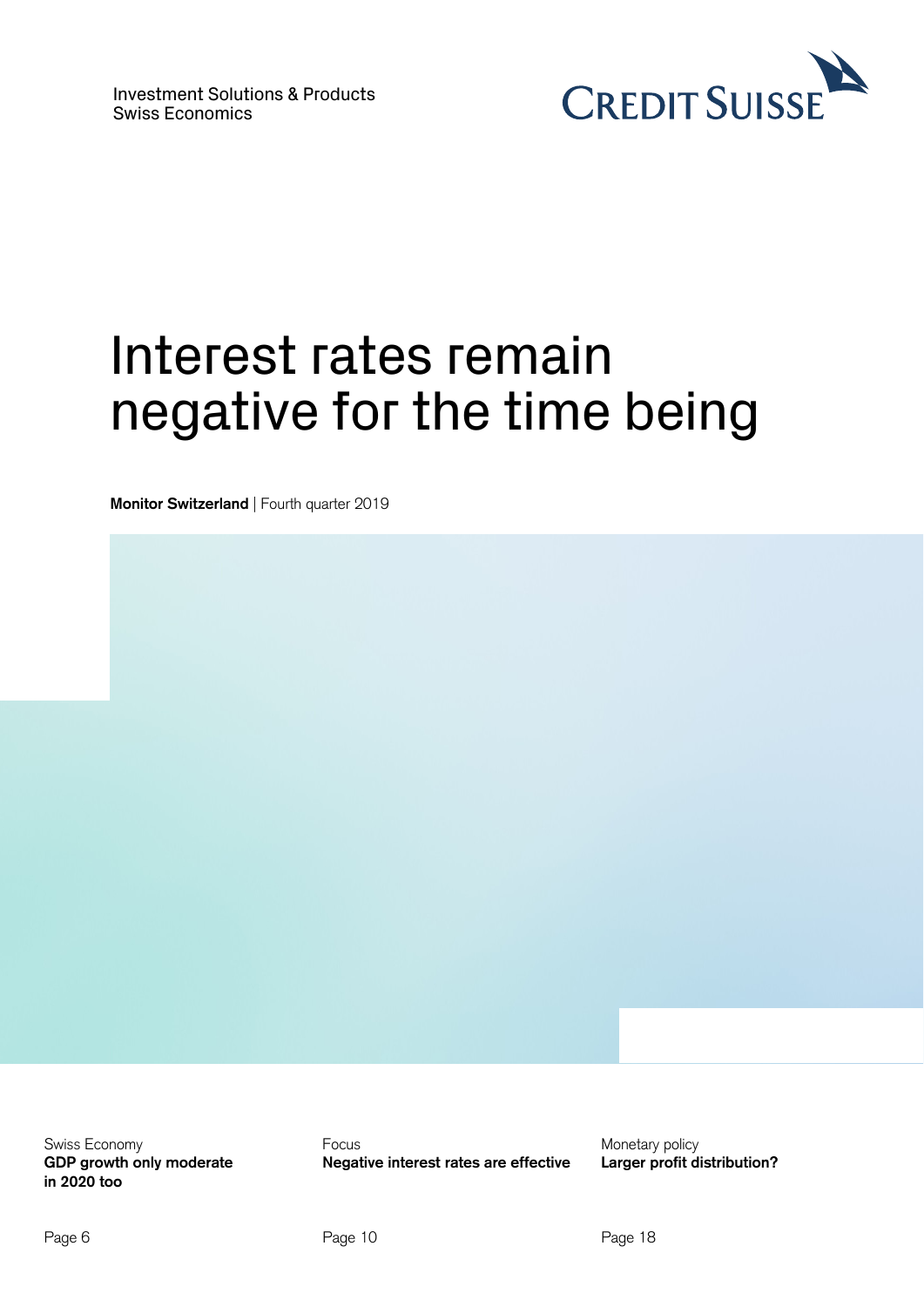

# Interest rates remain negative for the time being

**Monitor Switzerland** | Fourth quarter 2019

Swiss Economy **GDP growth only moderate in 2020 too** 

Focus **Negative interest rates are effective**  Monetary policy **Larger profit distribution?**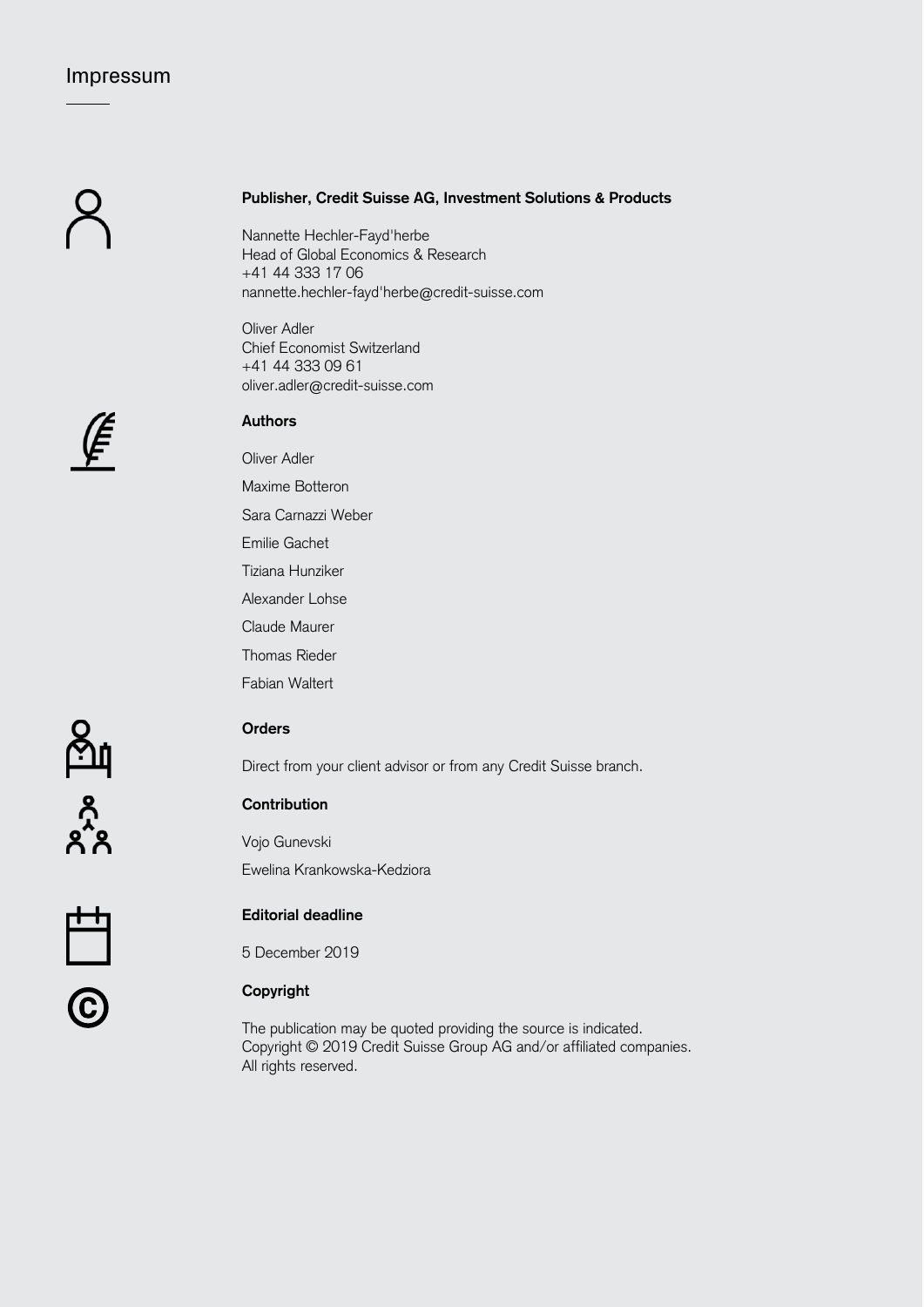# Impressum

# **Publisher, Credit Suisse AG, Investment Solutions & Products**

Nannette Hechler-Fayd'herbe Head of Global Economics & Research +41 44 333 17 06 nannette.hechler-fayd'herbe@credit-suisse.com

Oliver Adler Chief Economist Switzerland +41 44 333 09 61 oliver.adler@credit-suisse.com



# **Authors**

Oliver Adler Maxime Botteron Sara Carnazzi Weber Emilie Gachet Tiziana Hunziker Alexander Lohse Claude Maurer Thomas Rieder Fabian Waltert



# **Orders**

Direct from your client advisor or from any Credit Suisse branch.

# **Contribution**

Vojo Gunevski Ewelina Krankowska-Kedziora

# **Editorial deadline**

5 December 2019

# © **Copyright**

The publication may be quoted providing the source is indicated. Copyright © 2019 Credit Suisse Group AG and/or affiliated companies. All rights reserved.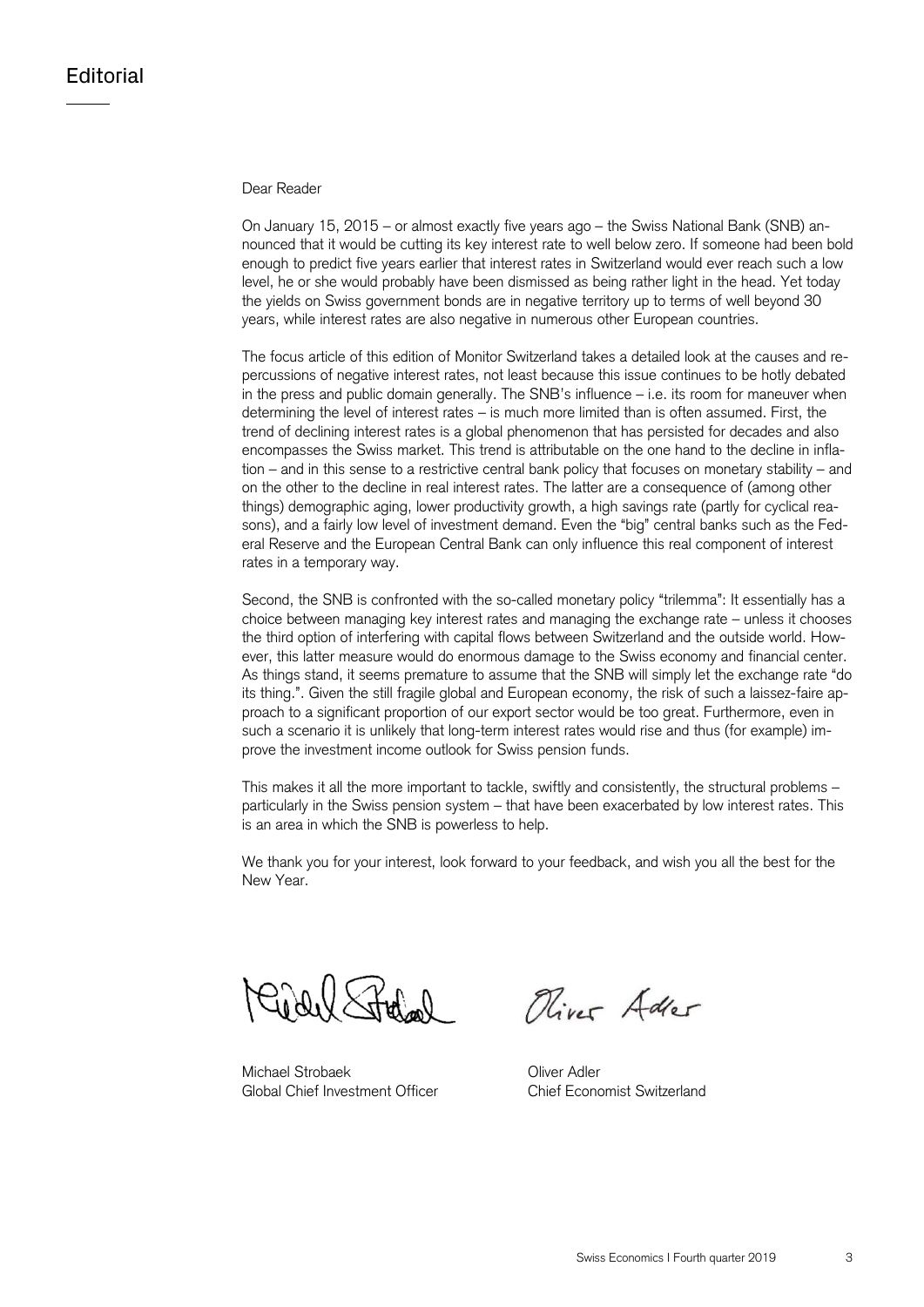# Dear Reader

On January 15, 2015 – or almost exactly five years ago – the Swiss National Bank (SNB) announced that it would be cutting its key interest rate to well below zero. If someone had been bold enough to predict five years earlier that interest rates in Switzerland would ever reach such a low level, he or she would probably have been dismissed as being rather light in the head. Yet today the yields on Swiss government bonds are in negative territory up to terms of well beyond 30 years, while interest rates are also negative in numerous other European countries.

The focus article of this edition of Monitor Switzerland takes a detailed look at the causes and repercussions of negative interest rates, not least because this issue continues to be hotly debated in the press and public domain generally. The SNB's influence – i.e. its room for maneuver when determining the level of interest rates – is much more limited than is often assumed. First, the trend of declining interest rates is a global phenomenon that has persisted for decades and also encompasses the Swiss market. This trend is attributable on the one hand to the decline in inflation – and in this sense to a restrictive central bank policy that focuses on monetary stability – and on the other to the decline in real interest rates. The latter are a consequence of (among other things) demographic aging, lower productivity growth, a high savings rate (partly for cyclical reasons), and a fairly low level of investment demand. Even the "big" central banks such as the Federal Reserve and the European Central Bank can only influence this real component of interest rates in a temporary way.

Second, the SNB is confronted with the so-called monetary policy "trilemma": It essentially has a choice between managing key interest rates and managing the exchange rate – unless it chooses the third option of interfering with capital flows between Switzerland and the outside world. However, this latter measure would do enormous damage to the Swiss economy and financial center. As things stand, it seems premature to assume that the SNB will simply let the exchange rate "do its thing.". Given the still fragile global and European economy, the risk of such a laissez-faire approach to a significant proportion of our export sector would be too great. Furthermore, even in such a scenario it is unlikely that long-term interest rates would rise and thus (for example) improve the investment income outlook for Swiss pension funds.

This makes it all the more important to tackle, swiftly and consistently, the structural problems – particularly in the Swiss pension system – that have been exacerbated by low interest rates. This is an area in which the SNB is powerless to help.

We thank you for your interest, look forward to your feedback, and wish you all the best for the New Year.

 $0.0$  X  $H_{\rm w}$   $\sim$ 

Michael Strobaek **Oliver Adler** Global Chief Investment Officer Chief Economist Switzerland

Oliver Adler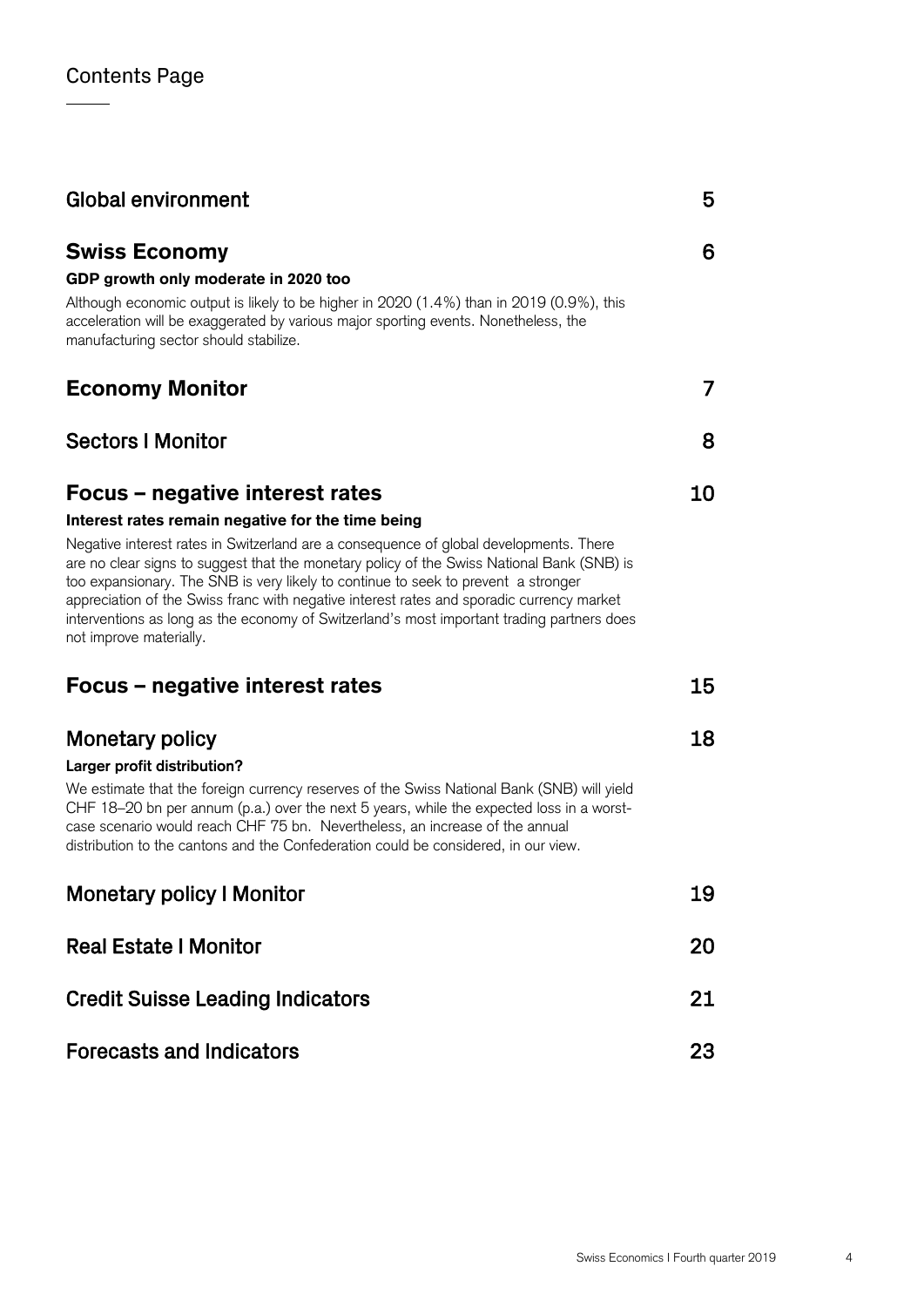| <b>Global environment</b>                                                                                                                                                                                                                                                                                                                                                                                                                                                                                                                                                                | 5  |
|------------------------------------------------------------------------------------------------------------------------------------------------------------------------------------------------------------------------------------------------------------------------------------------------------------------------------------------------------------------------------------------------------------------------------------------------------------------------------------------------------------------------------------------------------------------------------------------|----|
| <b>Swiss Economy</b><br>GDP growth only moderate in 2020 too<br>Although economic output is likely to be higher in 2020 (1.4%) than in 2019 (0.9%), this<br>acceleration will be exaggerated by various major sporting events. Nonetheless, the<br>manufacturing sector should stabilize.                                                                                                                                                                                                                                                                                                | 6  |
| <b>Economy Monitor</b>                                                                                                                                                                                                                                                                                                                                                                                                                                                                                                                                                                   | 7  |
| <b>Sectors I Monitor</b>                                                                                                                                                                                                                                                                                                                                                                                                                                                                                                                                                                 | 8  |
| Focus – negative interest rates<br>Interest rates remain negative for the time being<br>Negative interest rates in Switzerland are a consequence of global developments. There<br>are no clear signs to suggest that the monetary policy of the Swiss National Bank (SNB) is<br>too expansionary. The SNB is very likely to continue to seek to prevent a stronger<br>appreciation of the Swiss franc with negative interest rates and sporadic currency market<br>interventions as long as the economy of Switzerland's most important trading partners does<br>not improve materially. | 10 |
| Focus – negative interest rates                                                                                                                                                                                                                                                                                                                                                                                                                                                                                                                                                          | 15 |
| <b>Monetary policy</b><br>Larger profit distribution?<br>We estimate that the foreign currency reserves of the Swiss National Bank (SNB) will yield<br>CHF 18-20 bn per annum (p.a.) over the next 5 years, while the expected loss in a worst-<br>case scenario would reach CHF 75 bn. Nevertheless, an increase of the annual<br>distribution to the cantons and the Confederation could be considered, in our view.                                                                                                                                                                   | 18 |
| <b>Monetary policy I Monitor</b>                                                                                                                                                                                                                                                                                                                                                                                                                                                                                                                                                         | 19 |
| <b>Real Estate I Monitor</b>                                                                                                                                                                                                                                                                                                                                                                                                                                                                                                                                                             | 20 |
| <b>Credit Suisse Leading Indicators</b>                                                                                                                                                                                                                                                                                                                                                                                                                                                                                                                                                  | 21 |
| <b>Forecasts and Indicators</b>                                                                                                                                                                                                                                                                                                                                                                                                                                                                                                                                                          | 23 |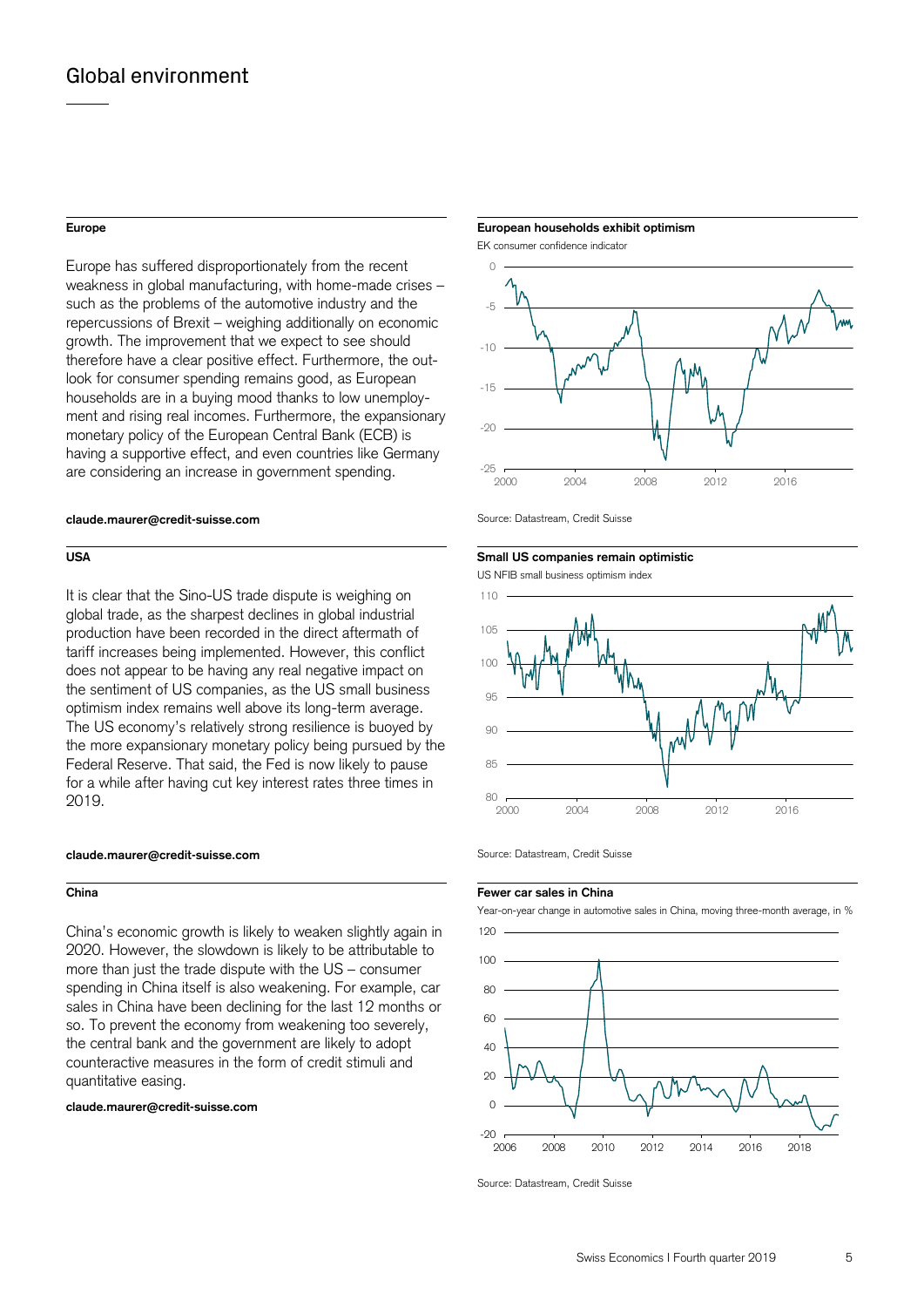Europe has suffered disproportionately from the recent weakness in global manufacturing, with home-made crises – such as the problems of the automotive industry and the repercussions of Brexit – weighing additionally on economic growth. The improvement that we expect to see should therefore have a clear positive effect. Furthermore, the outlook for consumer spending remains good, as European households are in a buying mood thanks to low unemployment and rising real incomes. Furthermore, the expansionary monetary policy of the European Central Bank (ECB) is having a supportive effect, and even countries like Germany are considering an increase in government spending.

# **claude.maurer@credit-suisse.com** Source: Datastream, Credit Suisse

It is clear that the Sino-US trade dispute is weighing on global trade, as the sharpest declines in global industrial production have been recorded in the direct aftermath of tariff increases being implemented. However, this conflict does not appear to be having any real negative impact on the sentiment of US companies, as the US small business optimism index remains well above its long-term average. The US economy's relatively strong resilience is buoyed by the more expansionary monetary policy being pursued by the Federal Reserve. That said, the Fed is now likely to pause for a while after having cut key interest rates three times in 2019.

# **claude.maurer@credit-suisse.com** Source: Datastream, Credit Suisse

China's economic growth is likely to weaken slightly again in 2020. However, the slowdown is likely to be attributable to more than just the trade dispute with the US – consumer spending in China itself is also weakening. For example, car sales in China have been declining for the last 12 months or so. To prevent the economy from weakening too severely, the central bank and the government are likely to adopt counteractive measures in the form of credit stimuli and quantitative easing.

**claude.maurer@credit-suisse.com**



# **USA** Small US companies remain optimistic **Small US companies remain optimistic**

US NFIB small business optimism index



### **China Fewer car sales in China Fewer car sales in China**



Source: Datastream, Credit Suisse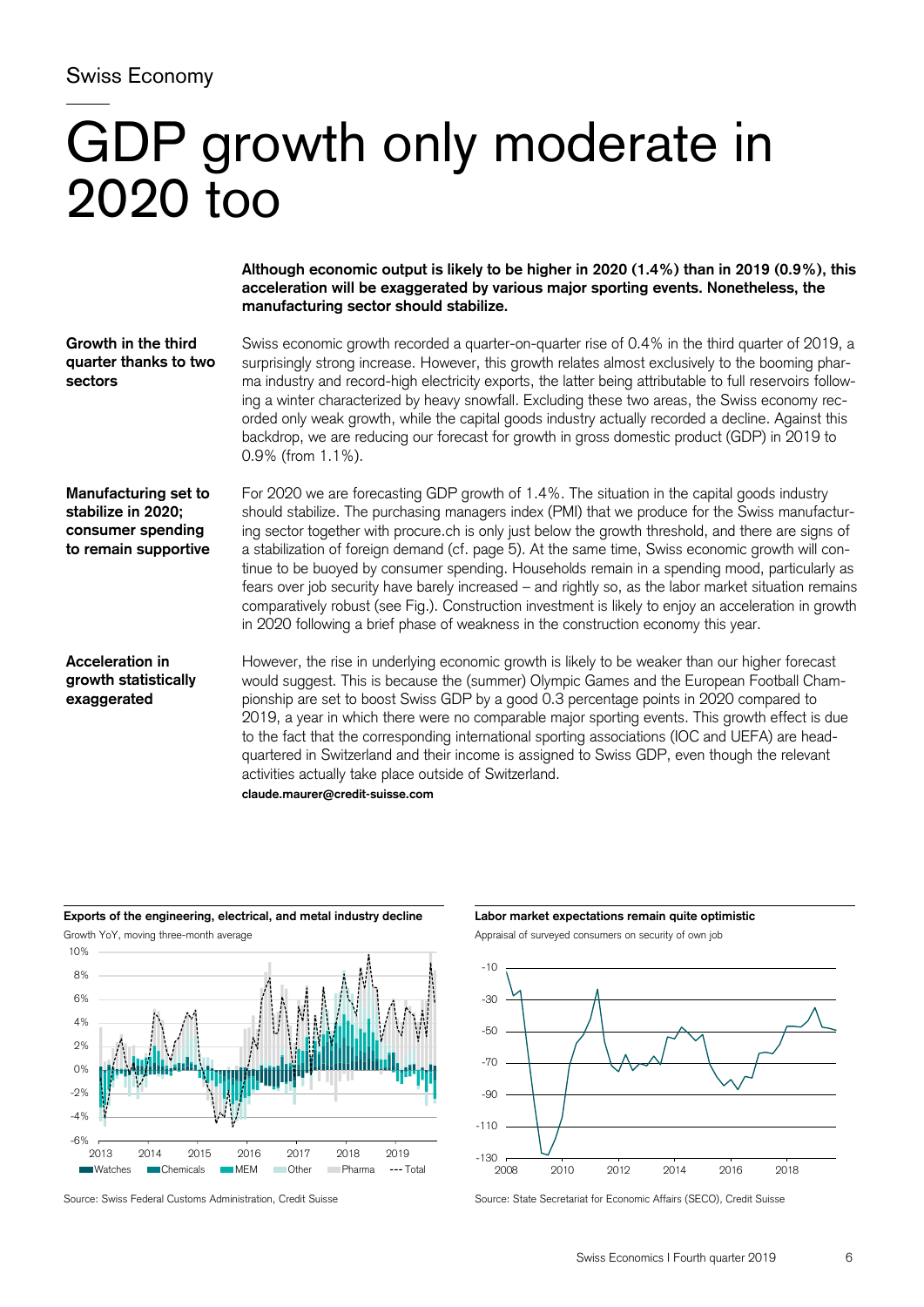# Swiss Economy

# GDP growth only moderate in 2020 too

**Although economic output is likely to be higher in 2020 (1.4%) than in 2019 (0.9%), this acceleration will be exaggerated by various major sporting events. Nonetheless, the manufacturing sector should stabilize.** 

Swiss economic growth recorded a quarter-on-quarter rise of 0.4% in the third quarter of 2019, a surprisingly strong increase. However, this growth relates almost exclusively to the booming pharma industry and record-high electricity exports, the latter being attributable to full reservoirs following a winter characterized by heavy snowfall. Excluding these two areas, the Swiss economy recorded only weak growth, while the capital goods industry actually recorded a decline. Against this backdrop, we are reducing our forecast for growth in gross domestic product (GDP) in 2019 to 0.9% (from 1.1%). **Growth in the third quarter thanks to two sectors** 

**Manufacturing set to stabilize in 2020; consumer spending to remain supportive**  For 2020 we are forecasting GDP growth of 1.4%. The situation in the capital goods industry should stabilize. The purchasing managers index (PMI) that we produce for the Swiss manufacturing sector together with procure.ch is only just below the growth threshold, and there are signs of a stabilization of foreign demand (cf. page 5). At the same time, Swiss economic growth will continue to be buoyed by consumer spending. Households remain in a spending mood, particularly as fears over job security have barely increased – and rightly so, as the labor market situation remains comparatively robust (see Fig.). Construction investment is likely to enjoy an acceleration in growth in 2020 following a brief phase of weakness in the construction economy this year.

# **Acceleration in growth statistically exaggerated**

However, the rise in underlying economic growth is likely to be weaker than our higher forecast would suggest. This is because the (summer) Olympic Games and the European Football Championship are set to boost Swiss GDP by a good 0.3 percentage points in 2020 compared to 2019, a year in which there were no comparable major sporting events. This growth effect is due to the fact that the corresponding international sporting associations (IOC and UEFA) are headquartered in Switzerland and their income is assigned to Swiss GDP, even though the relevant activities actually take place outside of Switzerland. **claude.maurer@credit-suisse.com** 



**Exports of the engineering, electrical, and metal industry decline Labor market expectations remain quite optimistic**  Growth YoY, moving three-month average  $\blacksquare$  Appraisal of surveyed consumers on security of own job



Source: Swiss Federal Customs Administration, Credit Suisse Source: State Secretariat for Economic Affairs (SECO), Credit Suisse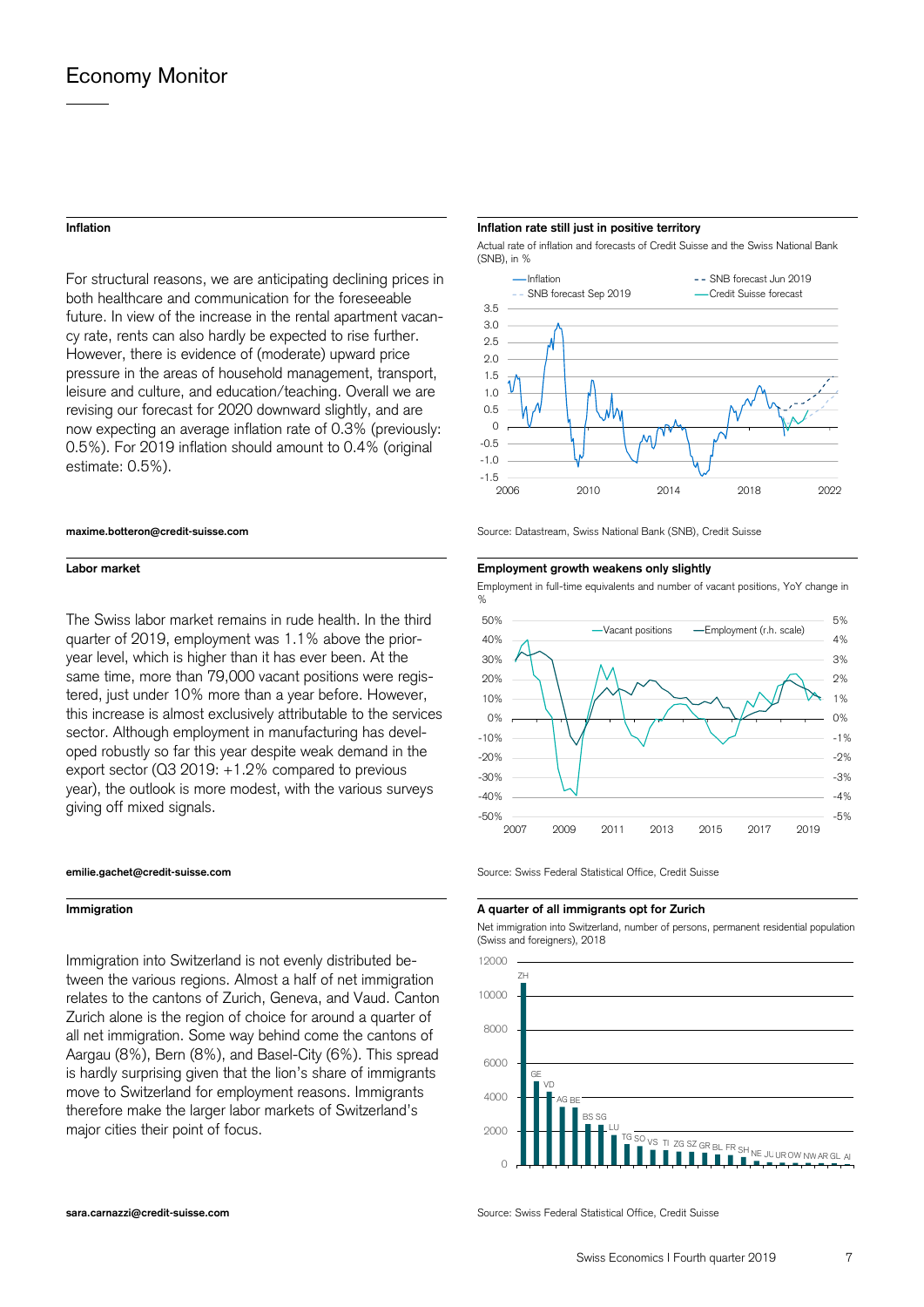For structural reasons, we are anticipating declining prices in both healthcare and communication for the foreseeable future. In view of the increase in the rental apartment vacancy rate, rents can also hardly be expected to rise further. However, there is evidence of (moderate) upward price pressure in the areas of household management, transport, leisure and culture, and education/teaching. Overall we are revising our forecast for 2020 downward slightly, and are now expecting an average inflation rate of 0.3% (previously: 0.5%). For 2019 inflation should amount to 0.4% (original estimate: 0.5%).

The Swiss labor market remains in rude health. In the third quarter of 2019, employment was 1.1% above the prioryear level, which is higher than it has ever been. At the same time, more than 79,000 vacant positions were registered, just under 10% more than a year before. However, this increase is almost exclusively attributable to the services sector. Although employment in manufacturing has developed robustly so far this year despite weak demand in the export sector (Q3 2019: +1.2% compared to previous year), the outlook is more modest, with the various surveys giving off mixed signals.



Immigration into Switzerland is not evenly distributed between the various regions. Almost a half of net immigration relates to the cantons of Zurich, Geneva, and Vaud. Canton Zurich alone is the region of choice for around a quarter of all net immigration. Some way behind come the cantons of Aargau (8%), Bern (8%), and Basel-City (6%). This spread is hardly surprising given that the lion's share of immigrants move to Switzerland for employment reasons. Immigrants therefore make the larger labor markets of Switzerland's major cities their point of focus.

## **Inflation Inflation rate still just in positive territory**

Actual rate of inflation and forecasts of Credit Suisse and the Swiss National Bank (SNB), in %



**maxime.botteron@credit-suisse.com** Source: Datastream, Swiss National Bank (SNB), Credit Suisse

# **Labor market Employment growth weakens only slightly**

Employment in full-time equivalents and number of vacant positions, YoY change in



**emilie.gachet@credit-suisse.com** Source: Swiss Federal Statistical Office, Credit Suisse

### **Immigration A quarter of all immigrants opt for Zurich**

 Net immigration into Switzerland, number of persons, permanent residential population (Swiss and foreigners), 2018



**sara.carnazzi@credit-suisse.com** Source: Swiss Federal Statistical Office. Credit Suisse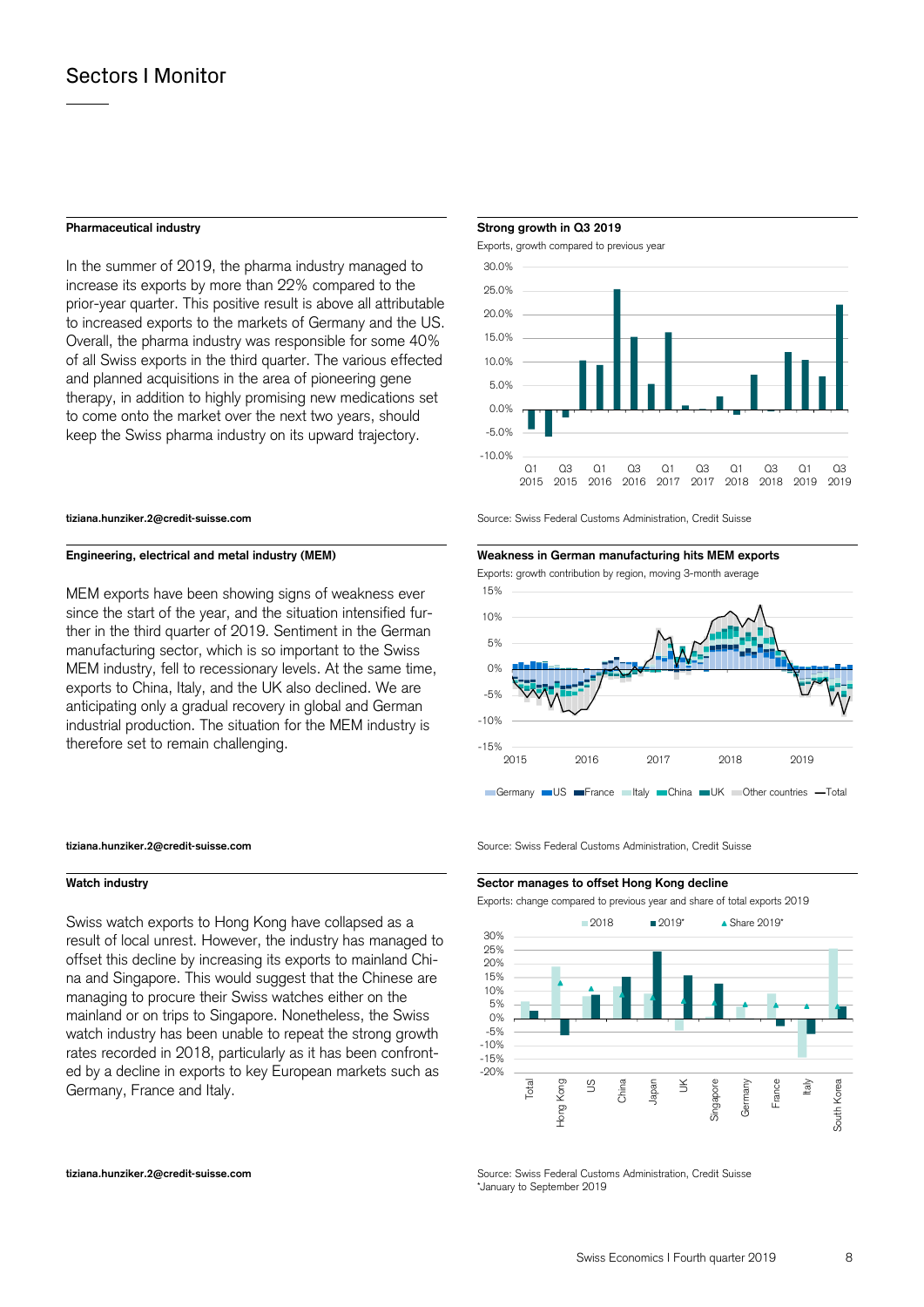In the summer of 2019, the pharma industry managed to increase its exports by more than 22% compared to the prior-year quarter. This positive result is above all attributable to increased exports to the markets of Germany and the US. Overall, the pharma industry was responsible for some 40% of all Swiss exports in the third quarter. The various effected and planned acquisitions in the area of pioneering gene therapy, in addition to highly promising new medications set to come onto the market over the next two years, should keep the Swiss pharma industry on its upward trajectory.

MEM exports have been showing signs of weakness ever since the start of the year, and the situation intensified further in the third quarter of 2019. Sentiment in the German manufacturing sector, which is so important to the Swiss MEM industry, fell to recessionary levels. At the same time, exports to China, Italy, and the UK also declined. We are anticipating only a gradual recovery in global and German industrial production. The situation for the MEM industry is therefore set to remain challenging.

Swiss watch exports to Hong Kong have collapsed as a result of local unrest. However, the industry has managed to offset this decline by increasing its exports to mainland China and Singapore. This would suggest that the Chinese are managing to procure their Swiss watches either on the mainland or on trips to Singapore. Nonetheless, the Swiss watch industry has been unable to repeat the strong growth rates recorded in 2018, particularly as it has been confronted by a decline in exports to key European markets such as Germany, France and Italy.

### **Pharmaceutical industry Strong growth in Q3 2019**



**tiziana.hunziker.2@credit-suisse.com** Source: Swiss Federal Customs Administration, Credit Suisse



Exports: growth contribution by region, moving 3-month average



**tiziana.hunziker.2@credit-suisse.com** Source: Swiss Federal Customs Administration, Credit Suisse

### **Watch industry Sector manages to offset Hong Kong decline**

Exports: change compared to previous year and share of total exports 2019



**tiziana.hunziker.2@credit-suisse.com** Source: Swiss Federal Customs Administration, Credit Suisse \*January to September 2019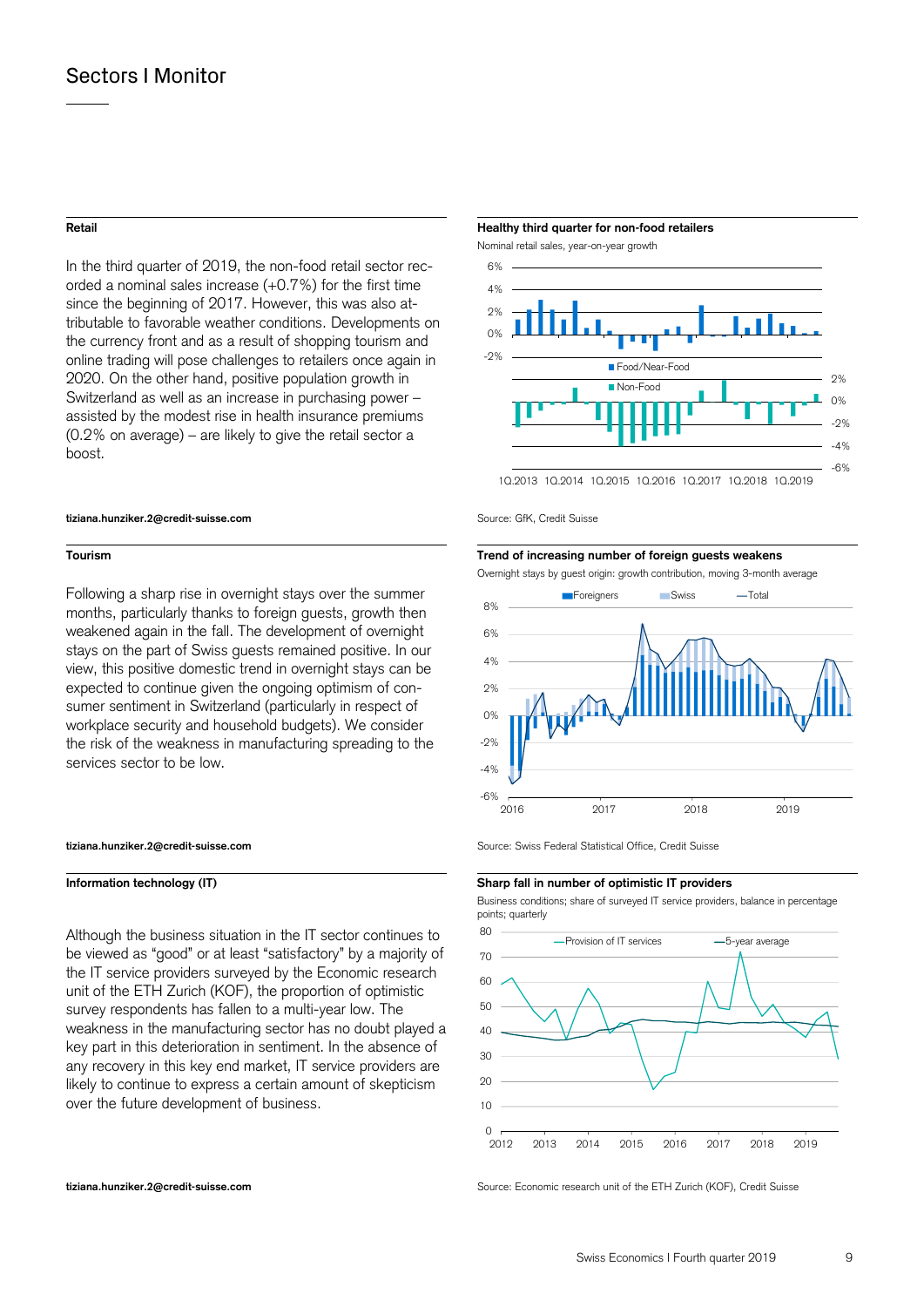In the third quarter of 2019, the non-food retail sector recorded a nominal sales increase (+0.7%) for the first time since the beginning of 2017. However, this was also attributable to favorable weather conditions. Developments on the currency front and as a result of shopping tourism and online trading will pose challenges to retailers once again in 2020. On the other hand, positive population growth in Switzerland as well as an increase in purchasing power – assisted by the modest rise in health insurance premiums (0.2% on average) – are likely to give the retail sector a boost.

### **tiziana.hunziker.2@credit-suisse.com** Source: GfK, Credit Suisse

Following a sharp rise in overnight stays over the summer months, particularly thanks to foreign guests, growth then weakened again in the fall. The development of overnight stays on the part of Swiss guests remained positive. In our view, this positive domestic trend in overnight stays can be expected to continue given the ongoing optimism of consumer sentiment in Switzerland (particularly in respect of workplace security and household budgets). We consider the risk of the weakness in manufacturing spreading to the services sector to be low.

Although the business situation in the IT sector continues to be viewed as "good" or at least "satisfactory" by a majority of the IT service providers surveyed by the Economic research unit of the ETH Zurich (KOF), the proportion of optimistic survey respondents has fallen to a multi-year low. The weakness in the manufacturing sector has no doubt played a key part in this deterioration in sentiment. In the absence of any recovery in this key end market, IT service providers are likely to continue to express a certain amount of skepticism over the future development of business.

### **Retail Healthy third quarter for non-food retailers**

Nominal retail sales, year-on-year growth



# **Tourism Trend of increasing number of foreign guests weakens**

Overnight stays by guest origin: growth contribution, moving 3-month average



**tiziana.hunziker.2@credit-suisse.com** Source: Swiss Federal Statistical Office, Credit Suisse

### **Information technology (IT) Sharp fall in number of optimistic IT providers**

 Business conditions; share of surveyed IT service providers, balance in percentage points; quarterly



**tiziana.hunziker.2@credit-suisse.com** Source: Economic research unit of the ETH Zurich (KOF), Credit Suisse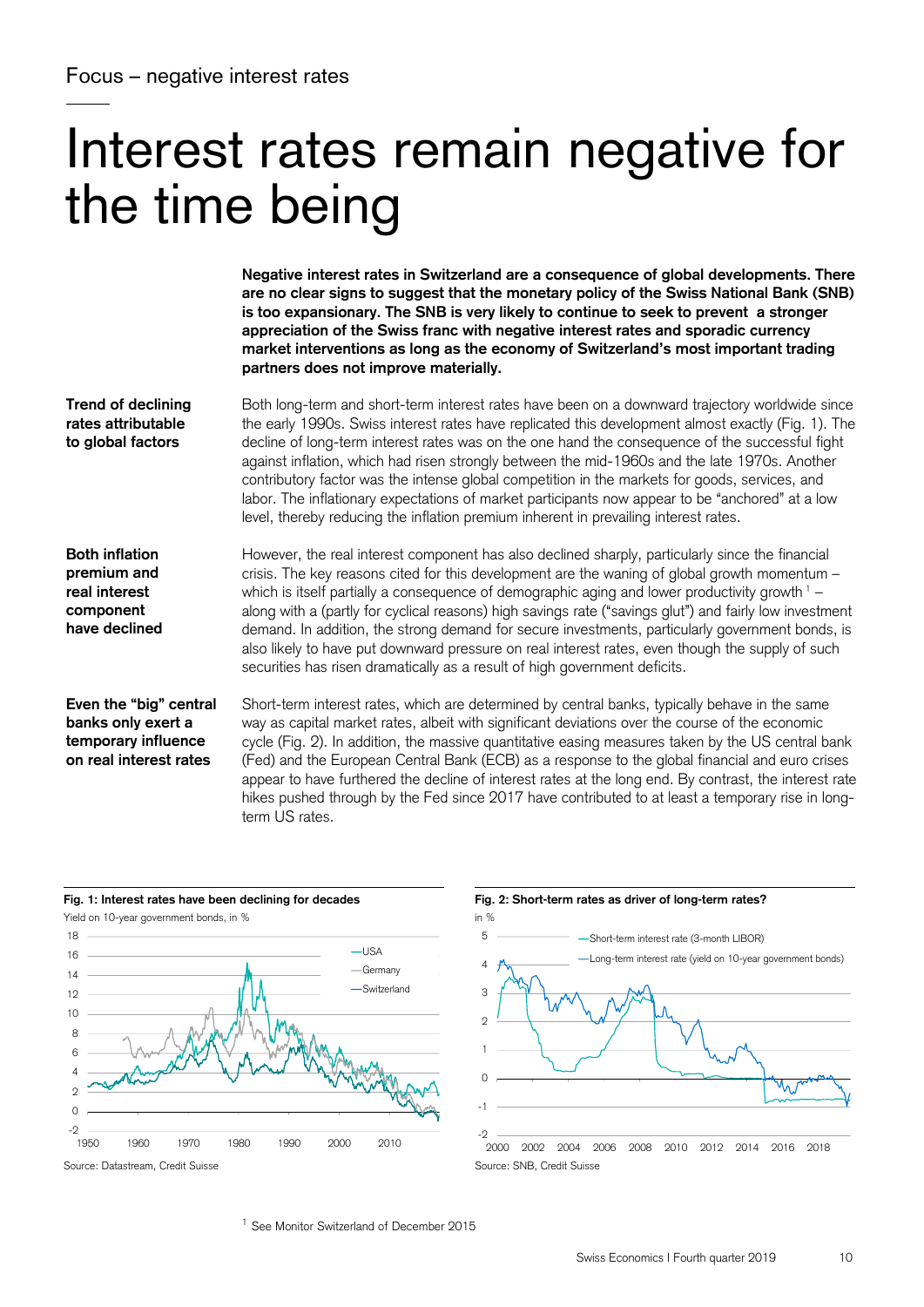# Interest rates remain negative for the time being

**Negative interest rates in Switzerland are a consequence of global developments. There are no clear signs to suggest that the monetary policy of the Swiss National Bank (SNB) is too expansionary. The SNB is very likely to continue to seek to prevent a stronger appreciation of the Swiss franc with negative interest rates and sporadic currency market interventions as long as the economy of Switzerland's most important trading partners does not improve materially.** 

**Trend of declining rates attributable to global factors** 

Both long-term and short-term interest rates have been on a downward trajectory worldwide since the early 1990s. Swiss interest rates have replicated this development almost exactly (Fig. 1). The decline of long-term interest rates was on the one hand the consequence of the successful fight against inflation, which had risen strongly between the mid-1960s and the late 1970s. Another contributory factor was the intense global competition in the markets for goods, services, and labor. The inflationary expectations of market participants now appear to be "anchored" at a low level, thereby reducing the inflation premium inherent in prevailing interest rates.

**Both inflation premium and real interest component have declined**  However, the real interest component has also declined sharply, particularly since the financial crisis. The key reasons cited for this development are the waning of global growth momentum – which is itself partially a consequence of demographic aging and lower productivity growth  $1$ along with a (partly for cyclical reasons) high savings rate ("savings glut") and fairly low investment demand. In addition, the strong demand for secure investments, particularly government bonds, is also likely to have put downward pressure on real interest rates, even though the supply of such securities has risen dramatically as a result of high government deficits.

**Even the "big" central banks only exert a temporary influence on real interest rates** 

Short-term interest rates, which are determined by central banks, typically behave in the same way as capital market rates, albeit with significant deviations over the course of the economic cycle (Fig. 2). In addition, the massive quantitative easing measures taken by the US central bank (Fed) and the European Central Bank (ECB) as a response to the global financial and euro crises appear to have furthered the decline of interest rates at the long end. By contrast, the interest rate hikes pushed through by the Fed since 2017 have contributed to at least a temporary rise in longterm US rates.





<sup>1</sup> See Monitor Switzerland of December 2015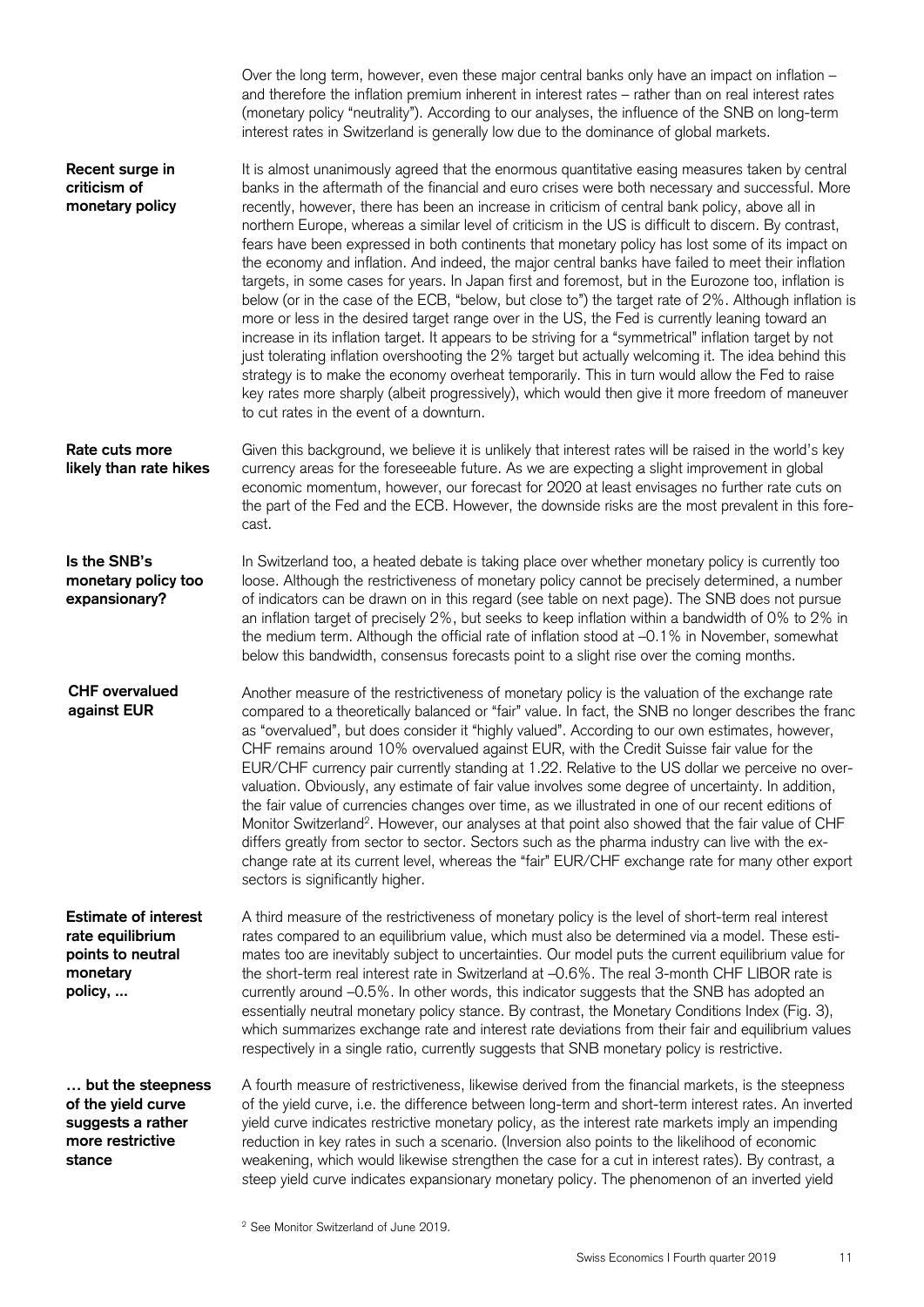|                                                                                             | Over the long term, however, even these major central banks only have an impact on inflation -<br>and therefore the inflation premium inherent in interest rates - rather than on real interest rates<br>(monetary policy "neutrality"). According to our analyses, the influence of the SNB on long-term<br>interest rates in Switzerland is generally low due to the dominance of global markets.                                                                                                                                                                                                                                                                                                                                                                                                                                                                                                                                                                                                                                                                                                                                                                                                                                                                                                                                                                                                                 |
|---------------------------------------------------------------------------------------------|---------------------------------------------------------------------------------------------------------------------------------------------------------------------------------------------------------------------------------------------------------------------------------------------------------------------------------------------------------------------------------------------------------------------------------------------------------------------------------------------------------------------------------------------------------------------------------------------------------------------------------------------------------------------------------------------------------------------------------------------------------------------------------------------------------------------------------------------------------------------------------------------------------------------------------------------------------------------------------------------------------------------------------------------------------------------------------------------------------------------------------------------------------------------------------------------------------------------------------------------------------------------------------------------------------------------------------------------------------------------------------------------------------------------|
| Recent surge in<br>criticism of<br>monetary policy                                          | It is almost unanimously agreed that the enormous quantitative easing measures taken by central<br>banks in the aftermath of the financial and euro crises were both necessary and successful. More<br>recently, however, there has been an increase in criticism of central bank policy, above all in<br>northern Europe, whereas a similar level of criticism in the US is difficult to discern. By contrast,<br>fears have been expressed in both continents that monetary policy has lost some of its impact on<br>the economy and inflation. And indeed, the major central banks have failed to meet their inflation<br>targets, in some cases for years. In Japan first and foremost, but in the Eurozone too, inflation is<br>below (or in the case of the ECB, "below, but close to") the target rate of 2%. Although inflation is<br>more or less in the desired target range over in the US, the Fed is currently leaning toward an<br>increase in its inflation target. It appears to be striving for a "symmetrical" inflation target by not<br>just tolerating inflation overshooting the 2% target but actually welcoming it. The idea behind this<br>strategy is to make the economy overheat temporarily. This in turn would allow the Fed to raise<br>key rates more sharply (albeit progressively), which would then give it more freedom of maneuver<br>to cut rates in the event of a downturn. |
| Rate cuts more<br>likely than rate hikes                                                    | Given this background, we believe it is unlikely that interest rates will be raised in the world's key<br>currency areas for the foreseeable future. As we are expecting a slight improvement in global<br>economic momentum, however, our forecast for 2020 at least envisages no further rate cuts on<br>the part of the Fed and the ECB. However, the downside risks are the most prevalent in this fore-<br>cast.                                                                                                                                                                                                                                                                                                                                                                                                                                                                                                                                                                                                                                                                                                                                                                                                                                                                                                                                                                                               |
| Is the SNB's<br>monetary policy too<br>expansionary?                                        | In Switzerland too, a heated debate is taking place over whether monetary policy is currently too<br>loose. Although the restrictiveness of monetary policy cannot be precisely determined, a number<br>of indicators can be drawn on in this regard (see table on next page). The SNB does not pursue<br>an inflation target of precisely 2%, but seeks to keep inflation within a bandwidth of 0% to 2% in<br>the medium term. Although the official rate of inflation stood at -0.1% in November, somewhat<br>below this bandwidth, consensus forecasts point to a slight rise over the coming months.                                                                                                                                                                                                                                                                                                                                                                                                                                                                                                                                                                                                                                                                                                                                                                                                           |
| <b>CHF</b> overvalued<br>against EUR                                                        | Another measure of the restrictiveness of monetary policy is the valuation of the exchange rate<br>compared to a theoretically balanced or "fair" value. In fact, the SNB no longer describes the franc<br>as "overvalued", but does consider it "highly valued". According to our own estimates, however,<br>CHF remains around 10% overvalued against EUR, with the Credit Suisse fair value for the<br>EUR/CHF currency pair currently standing at 1.22. Relative to the US dollar we perceive no over-<br>valuation. Obviously, any estimate of fair value involves some degree of uncertainty. In addition,<br>the fair value of currencies changes over time, as we illustrated in one of our recent editions of<br>Monitor Switzerland <sup>2</sup> . However, our analyses at that point also showed that the fair value of CHF<br>differs greatly from sector to sector. Sectors such as the pharma industry can live with the ex-<br>change rate at its current level, whereas the "fair" EUR/CHF exchange rate for many other export<br>sectors is significantly higher.                                                                                                                                                                                                                                                                                                                                 |
| <b>Estimate of interest</b><br>rate equilibrium<br>points to neutral<br>monetary<br>policy, | A third measure of the restrictiveness of monetary policy is the level of short-term real interest<br>rates compared to an equilibrium value, which must also be determined via a model. These esti-<br>mates too are inevitably subject to uncertainties. Our model puts the current equilibrium value for<br>the short-term real interest rate in Switzerland at -0.6%. The real 3-month CHF LIBOR rate is<br>currently around -0.5%. In other words, this indicator suggests that the SNB has adopted an<br>essentially neutral monetary policy stance. By contrast, the Monetary Conditions Index (Fig. 3),<br>which summarizes exchange rate and interest rate deviations from their fair and equilibrium values<br>respectively in a single ratio, currently suggests that SNB monetary policy is restrictive.                                                                                                                                                                                                                                                                                                                                                                                                                                                                                                                                                                                                |
| but the steepness<br>of the yield curve<br>suggests a rather<br>more restrictive<br>stance  | A fourth measure of restrictiveness, likewise derived from the financial markets, is the steepness<br>of the yield curve, i.e. the difference between long-term and short-term interest rates. An inverted<br>yield curve indicates restrictive monetary policy, as the interest rate markets imply an impending<br>reduction in key rates in such a scenario. (Inversion also points to the likelihood of economic<br>weakening, which would likewise strengthen the case for a cut in interest rates). By contrast, a<br>steep yield curve indicates expansionary monetary policy. The phenomenon of an inverted yield                                                                                                                                                                                                                                                                                                                                                                                                                                                                                                                                                                                                                                                                                                                                                                                            |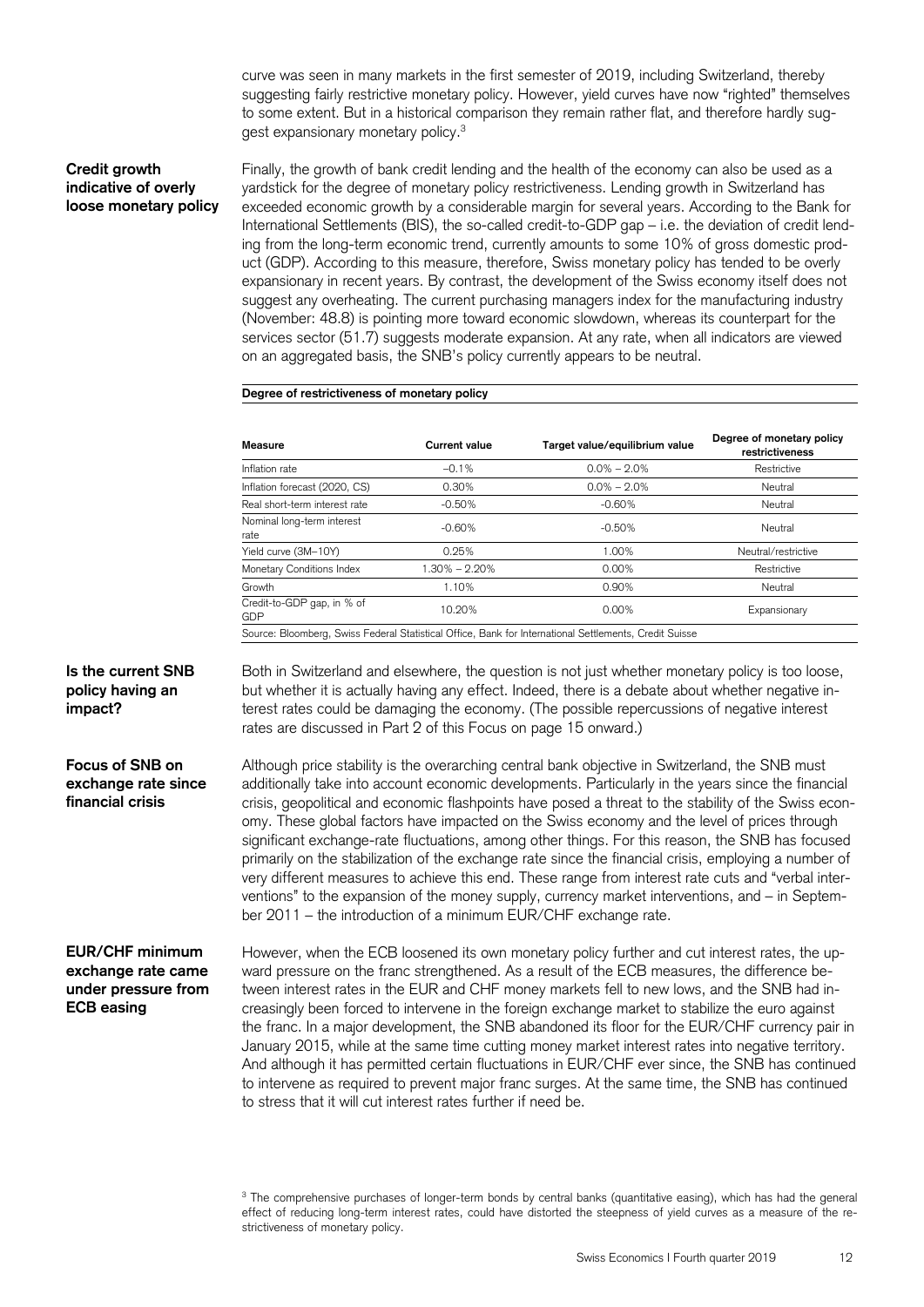curve was seen in many markets in the first semester of 2019, including Switzerland, thereby suggesting fairly restrictive monetary policy. However, yield curves have now "righted" themselves to some extent. But in a historical comparison they remain rather flat, and therefore hardly suggest expansionary monetary policy.<sup>3</sup>

# **Credit growth indicative of overly loose monetary policy**

Finally, the growth of bank credit lending and the health of the economy can also be used as a yardstick for the degree of monetary policy restrictiveness. Lending growth in Switzerland has exceeded economic growth by a considerable margin for several years. According to the Bank for International Settlements (BIS), the so-called credit-to-GDP gap – i.e. the deviation of credit lending from the long-term economic trend, currently amounts to some 10% of gross domestic product (GDP). According to this measure, therefore, Swiss monetary policy has tended to be overly expansionary in recent years. By contrast, the development of the Swiss economy itself does not suggest any overheating. The current purchasing managers index for the manufacturing industry (November: 48.8) is pointing more toward economic slowdown, whereas its counterpart for the services sector (51.7) suggests moderate expansion. At any rate, when all indicators are viewed on an aggregated basis, the SNB's policy currently appears to be neutral.

# **Degree of restrictiveness of monetary policy**

| <b>Measure</b>                           | <b>Current value</b> | Target value/equilibrium value                                                                         | Degree of monetary policy<br>restrictiveness |  |  |
|------------------------------------------|----------------------|--------------------------------------------------------------------------------------------------------|----------------------------------------------|--|--|
| Inflation rate                           | $-0.1%$              | $0.0\% - 2.0\%$                                                                                        | Restrictive                                  |  |  |
| Inflation forecast (2020, CS)            | 0.30%                | $0.0\% - 2.0\%$                                                                                        | Neutral                                      |  |  |
| Real short-term interest rate            | $-0.50%$             | $-0.60\%$                                                                                              | Neutral                                      |  |  |
| Nominal long-term interest<br>rate       | $-0.60%$             | $-0.50%$                                                                                               | Neutral                                      |  |  |
| Yield curve (3M-10Y)                     | 0.25%                | 1.00%                                                                                                  | Neutral/restrictive                          |  |  |
| Monetary Conditions Index                | $1.30\% - 2.20\%$    | $0.00\%$                                                                                               | Restrictive                                  |  |  |
| Growth                                   | 1.10%                | 0.90%                                                                                                  | Neutral                                      |  |  |
| Credit-to-GDP gap, in % of<br><b>GDP</b> | 10.20%               | 0.00%                                                                                                  | Expansionary                                 |  |  |
|                                          |                      | Source: Bloomberg, Swiss Federal Statistical Office, Bank for International Settlements, Credit Suisse |                                              |  |  |

**Is the current SNB policy having an impact?** 

**Focus of SNB on exchange rate since financial crisis** 

Both in Switzerland and elsewhere, the question is not just whether monetary policy is too loose, but whether it is actually having any effect. Indeed, there is a debate about whether negative interest rates could be damaging the economy. (The possible repercussions of negative interest rates are discussed in Part 2 of this Focus on page 15 onward.)

Although price stability is the overarching central bank objective in Switzerland, the SNB must additionally take into account economic developments. Particularly in the years since the financial crisis, geopolitical and economic flashpoints have posed a threat to the stability of the Swiss economy. These global factors have impacted on the Swiss economy and the level of prices through significant exchange-rate fluctuations, among other things. For this reason, the SNB has focused primarily on the stabilization of the exchange rate since the financial crisis, employing a number of very different measures to achieve this end. These range from interest rate cuts and "verbal interventions" to the expansion of the money supply, currency market interventions, and – in September 2011 – the introduction of a minimum EUR/CHF exchange rate.

# **EUR/CHF minimum exchange rate came under pressure from ECB easing**

However, when the ECB loosened its own monetary policy further and cut interest rates, the upward pressure on the franc strengthened. As a result of the ECB measures, the difference between interest rates in the EUR and CHF money markets fell to new lows, and the SNB had increasingly been forced to intervene in the foreign exchange market to stabilize the euro against the franc. In a major development, the SNB abandoned its floor for the EUR/CHF currency pair in January 2015, while at the same time cutting money market interest rates into negative territory. And although it has permitted certain fluctuations in EUR/CHF ever since, the SNB has continued to intervene as required to prevent major franc surges. At the same time, the SNB has continued to stress that it will cut interest rates further if need be.

<sup>&</sup>lt;sup>3</sup> The comprehensive purchases of longer-term bonds by central banks (quantitative easing), which has had the general effect of reducing long-term interest rates, could have distorted the steepness of yield curves as a measure of the restrictiveness of monetary policy.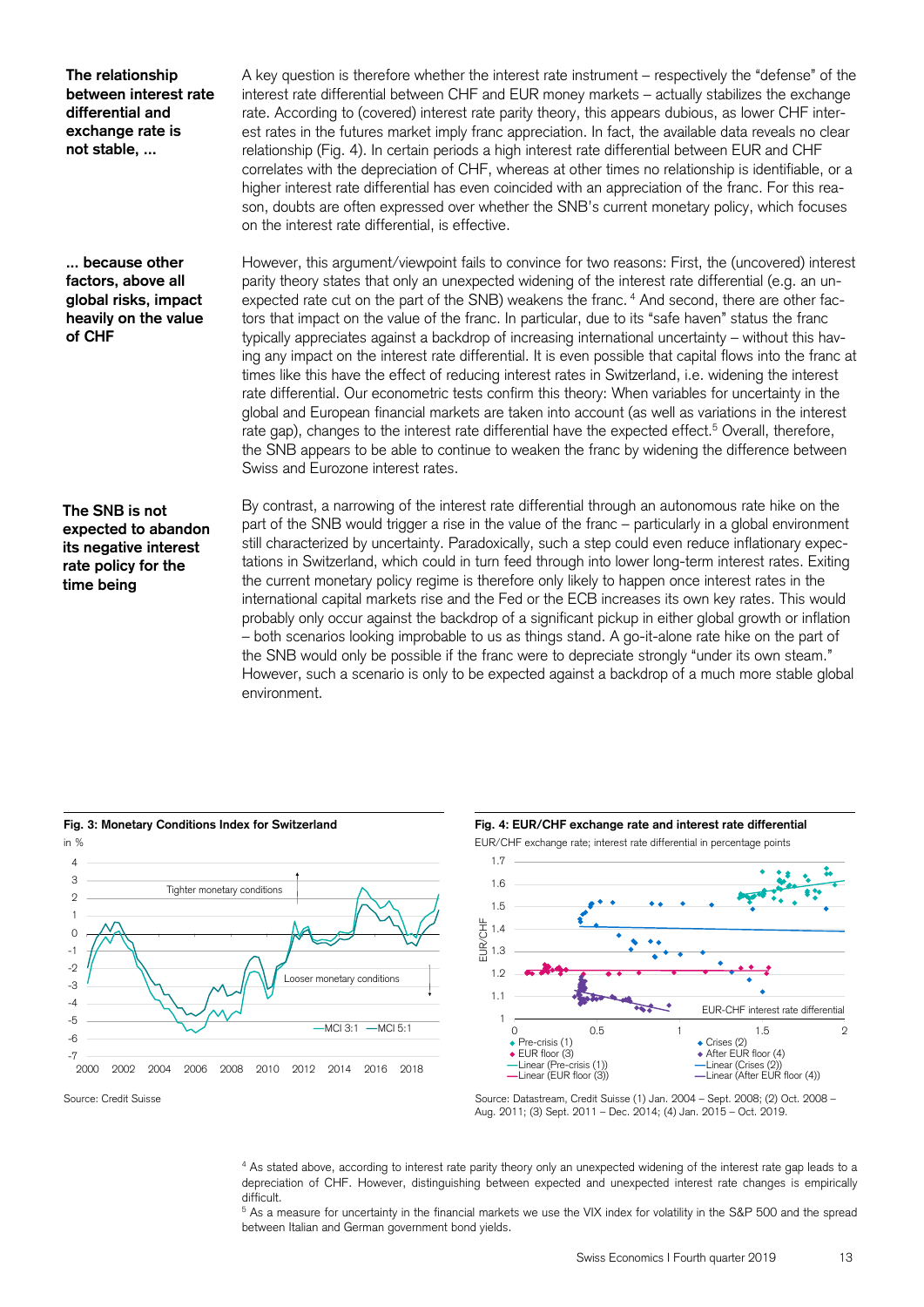**The relationship between interest rate differential and exchange rate is not stable, ...** 

**... because other factors, above all global risks, impact heavily on the value of CHF** 

A key question is therefore whether the interest rate instrument – respectively the "defense" of the interest rate differential between CHF and EUR money markets – actually stabilizes the exchange rate. According to (covered) interest rate parity theory, this appears dubious, as lower CHF interest rates in the futures market imply franc appreciation. In fact, the available data reveals no clear relationship (Fig. 4). In certain periods a high interest rate differential between EUR and CHF correlates with the depreciation of CHF, whereas at other times no relationship is identifiable, or a higher interest rate differential has even coincided with an appreciation of the franc. For this reason, doubts are often expressed over whether the SNB's current monetary policy, which focuses on the interest rate differential, is effective.

However, this argument/viewpoint fails to convince for two reasons: First, the (uncovered) interest parity theory states that only an unexpected widening of the interest rate differential (e.g. an unexpected rate cut on the part of the SNB) weakens the franc.  $4$  And second, there are other factors that impact on the value of the franc. In particular, due to its "safe haven" status the franc typically appreciates against a backdrop of increasing international uncertainty – without this having any impact on the interest rate differential. It is even possible that capital flows into the franc at times like this have the effect of reducing interest rates in Switzerland, i.e. widening the interest rate differential. Our econometric tests confirm this theory: When variables for uncertainty in the global and European financial markets are taken into account (as well as variations in the interest rate gap), changes to the interest rate differential have the expected effect.<sup>5</sup> Overall, therefore, the SNB appears to be able to continue to weaken the franc by widening the difference between Swiss and Eurozone interest rates.

# **The SNB is not expected to abandon its negative interest rate policy for the time being**

By contrast, a narrowing of the interest rate differential through an autonomous rate hike on the part of the SNB would trigger a rise in the value of the franc – particularly in a global environment still characterized by uncertainty. Paradoxically, such a step could even reduce inflationary expectations in Switzerland, which could in turn feed through into lower long-term interest rates. Exiting the current monetary policy regime is therefore only likely to happen once interest rates in the international capital markets rise and the Fed or the ECB increases its own key rates. This would probably only occur against the backdrop of a significant pickup in either global growth or inflation – both scenarios looking improbable to us as things stand. A go-it-alone rate hike on the part of the SNB would only be possible if the franc were to depreciate strongly "under its own steam." However, such a scenario is only to be expected against a backdrop of a much more stable global environment.









Aug. 2011; (3) Sept. 2011 – Dec. 2014; (4) Jan. 2015 – Oct. 2019.

<sup>4</sup> As stated above, according to interest rate parity theory only an unexpected widening of the interest rate gap leads to a depreciation of CHF. However, distinguishing between expected and unexpected interest rate changes is empirically difficult.

<sup>5</sup> As a measure for uncertainty in the financial markets we use the VIX index for volatility in the S&P 500 and the spread between Italian and German government bond yields.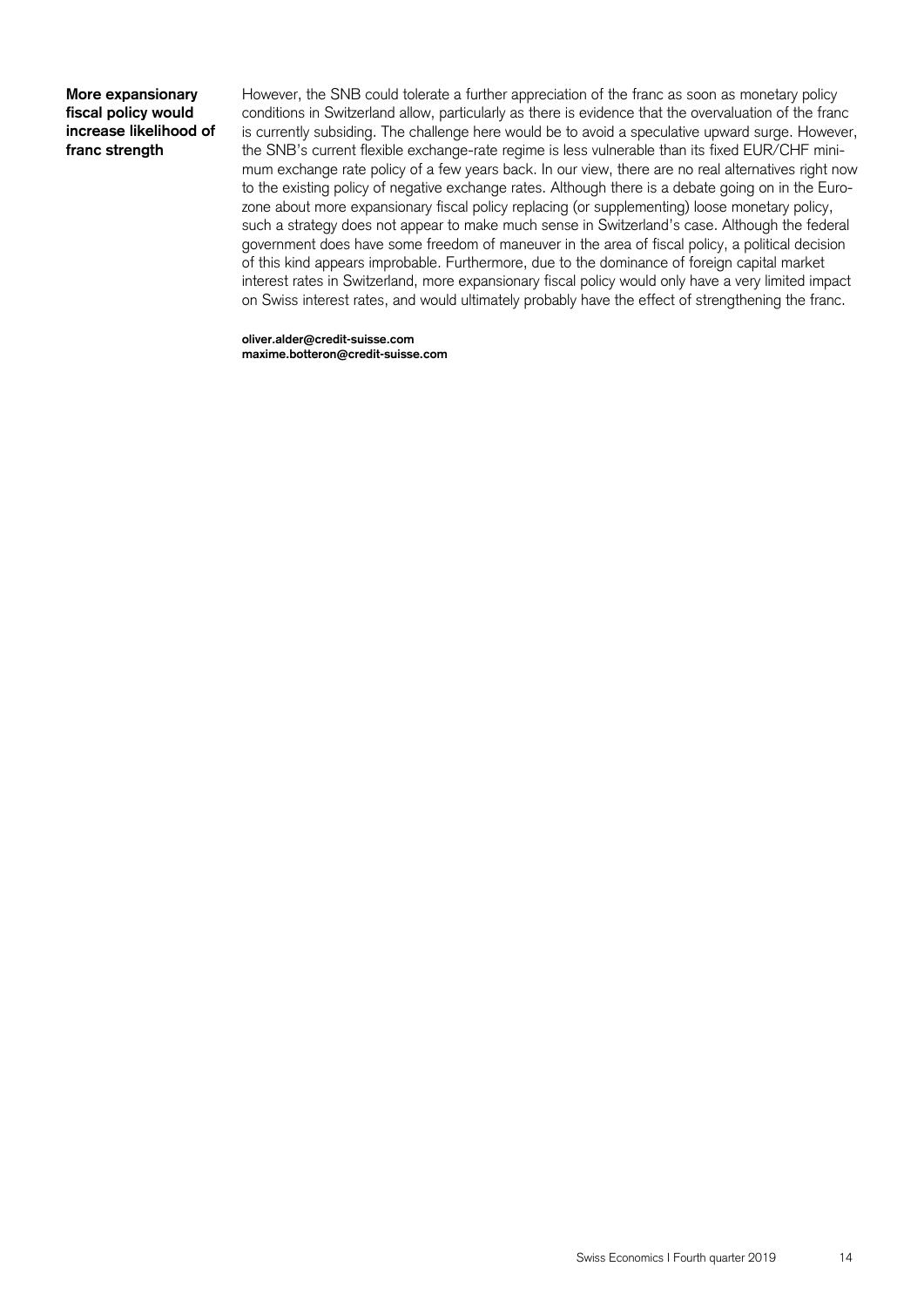# **More expansionary fiscal policy would increase likelihood of franc strength**

However, the SNB could tolerate a further appreciation of the franc as soon as monetary policy conditions in Switzerland allow, particularly as there is evidence that the overvaluation of the franc is currently subsiding. The challenge here would be to avoid a speculative upward surge. However, the SNB's current flexible exchange-rate regime is less vulnerable than its fixed EUR/CHF minimum exchange rate policy of a few years back. In our view, there are no real alternatives right now to the existing policy of negative exchange rates. Although there is a debate going on in the Eurozone about more expansionary fiscal policy replacing (or supplementing) loose monetary policy, such a strategy does not appear to make much sense in Switzerland's case. Although the federal government does have some freedom of maneuver in the area of fiscal policy, a political decision of this kind appears improbable. Furthermore, due to the dominance of foreign capital market interest rates in Switzerland, more expansionary fiscal policy would only have a very limited impact on Swiss interest rates, and would ultimately probably have the effect of strengthening the franc.

**oliver.alder@credit-suisse.com maxime.botteron@credit-suisse.com**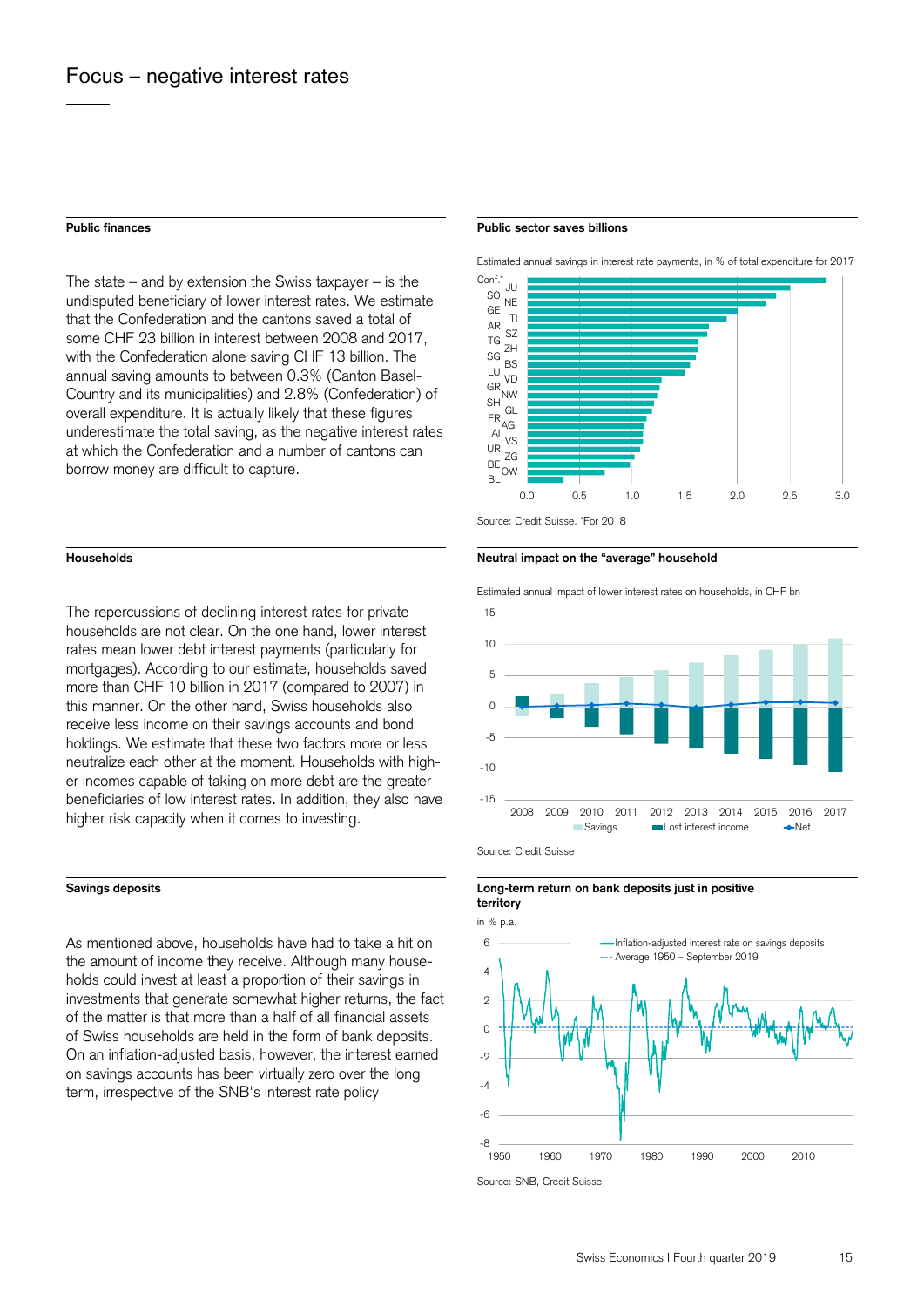The state – and by extension the Swiss taxpayer – is the undisputed beneficiary of lower interest rates. We estimate that the Confederation and the cantons saved a total of some CHF 23 billion in interest between 2008 and 2017, with the Confederation alone saving CHF 13 billion. The annual saving amounts to between 0.3% (Canton Basel-Country and its municipalities) and 2.8% (Confederation) of overall expenditure. It is actually likely that these figures underestimate the total saving, as the negative interest rates at which the Confederation and a number of cantons can borrow money are difficult to capture.

The repercussions of declining interest rates for private households are not clear. On the one hand, lower interest rates mean lower debt interest payments (particularly for mortgages). According to our estimate, households saved more than CHF 10 billion in 2017 (compared to 2007) in this manner. On the other hand, Swiss households also receive less income on their savings accounts and bond holdings. We estimate that these two factors more or less neutralize each other at the moment. Households with higher incomes capable of taking on more debt are the greater beneficiaries of low interest rates. In addition, they also have higher risk capacity when it comes to investing.

As mentioned above, households have had to take a hit on the amount of income they receive. Although many households could invest at least a proportion of their savings in investments that generate somewhat higher returns, the fact of the matter is that more than a half of all financial assets of Swiss households are held in the form of bank deposits. On an inflation-adjusted basis, however, the interest earned on savings accounts has been virtually zero over the long term, irrespective of the SNB's interest rate policy

### **Public finances Public sector saves billions**

Estimated annual savings in interest rate payments, in % of total expenditure for 2017





 Estimated annual impact of lower interest rates on households, in CHF bn Source: Credit Suisse -15 -10 -5  $\circ$ 5  $1<sub>0</sub>$ 15 2008 2009 2010 2011 2012 2013 2014 2015 2016 2017 ■Savings ■Lost interest income →Net

**Savings deposits Long-term return on bank deposits just in positive territory** 



Source: SNB, Credit Suisse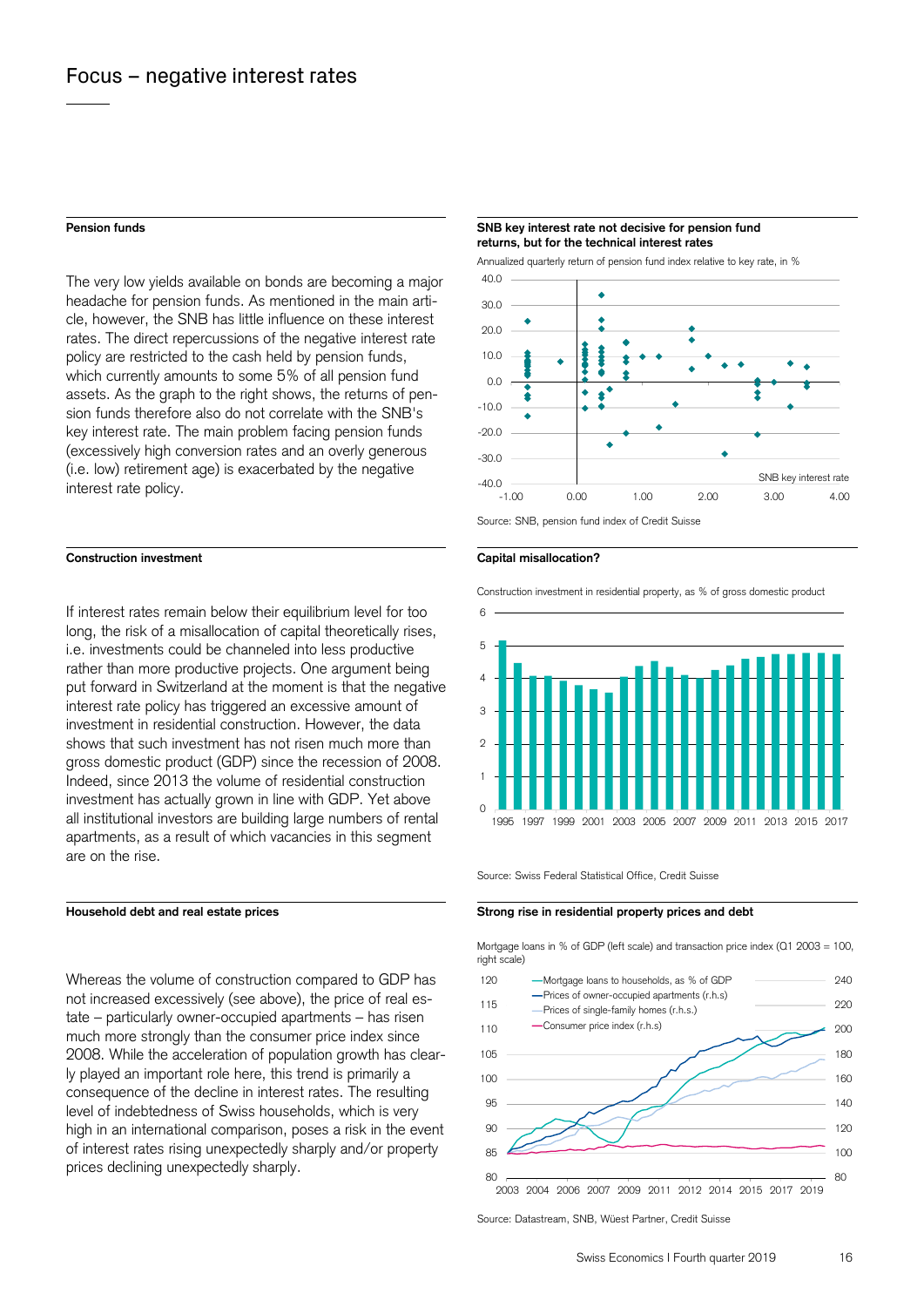The very low yields available on bonds are becoming a major headache for pension funds. As mentioned in the main article, however, the SNB has little influence on these interest rates. The direct repercussions of the negative interest rate policy are restricted to the cash held by pension funds, which currently amounts to some 5% of all pension fund assets. As the graph to the right shows, the returns of pension funds therefore also do not correlate with the SNB's key interest rate. The main problem facing pension funds (excessively high conversion rates and an overly generous (i.e. low) retirement age) is exacerbated by the negative interest rate policy.

## **Construction investment Capital misallocation?**

If interest rates remain below their equilibrium level for too long, the risk of a misallocation of capital theoretically rises, i.e. investments could be channeled into less productive rather than more productive projects. One argument being put forward in Switzerland at the moment is that the negative interest rate policy has triggered an excessive amount of investment in residential construction. However, the data shows that such investment has not risen much more than gross domestic product (GDP) since the recession of 2008. Indeed, since 2013 the volume of residential construction investment has actually grown in line with GDP. Yet above all institutional investors are building large numbers of rental apartments, as a result of which vacancies in this segment are on the rise.

Whereas the volume of construction compared to GDP has not increased excessively (see above), the price of real estate – particularly owner-occupied apartments – has risen much more strongly than the consumer price index since 2008. While the acceleration of population growth has clearly played an important role here, this trend is primarily a consequence of the decline in interest rates. The resulting level of indebtedness of Swiss households, which is very high in an international comparison, poses a risk in the event of interest rates rising unexpectedly sharply and/or property prices declining unexpectedly sharply.

### **Pension funds SNB key interest rate not decisive for pension fund returns, but for the technical interest rates**

Annualized quarterly return of pension fund index relative to key rate, in %



Source: SNB, pension fund index of Credit Suisse



Construction investment in residential property, as % of gross domestic product



Source: Swiss Federal Statistical Office, Credit Suisse

# Household debt and real estate prices **Strong rise in residential property prices and debt Strong rise in residential property prices and debt**

 Mortgage loans in % of GDP (left scale) and transaction price index (Q1 2003 = 100, right scale)



Source: Datastream, SNB, Wüest Partner, Credit Suisse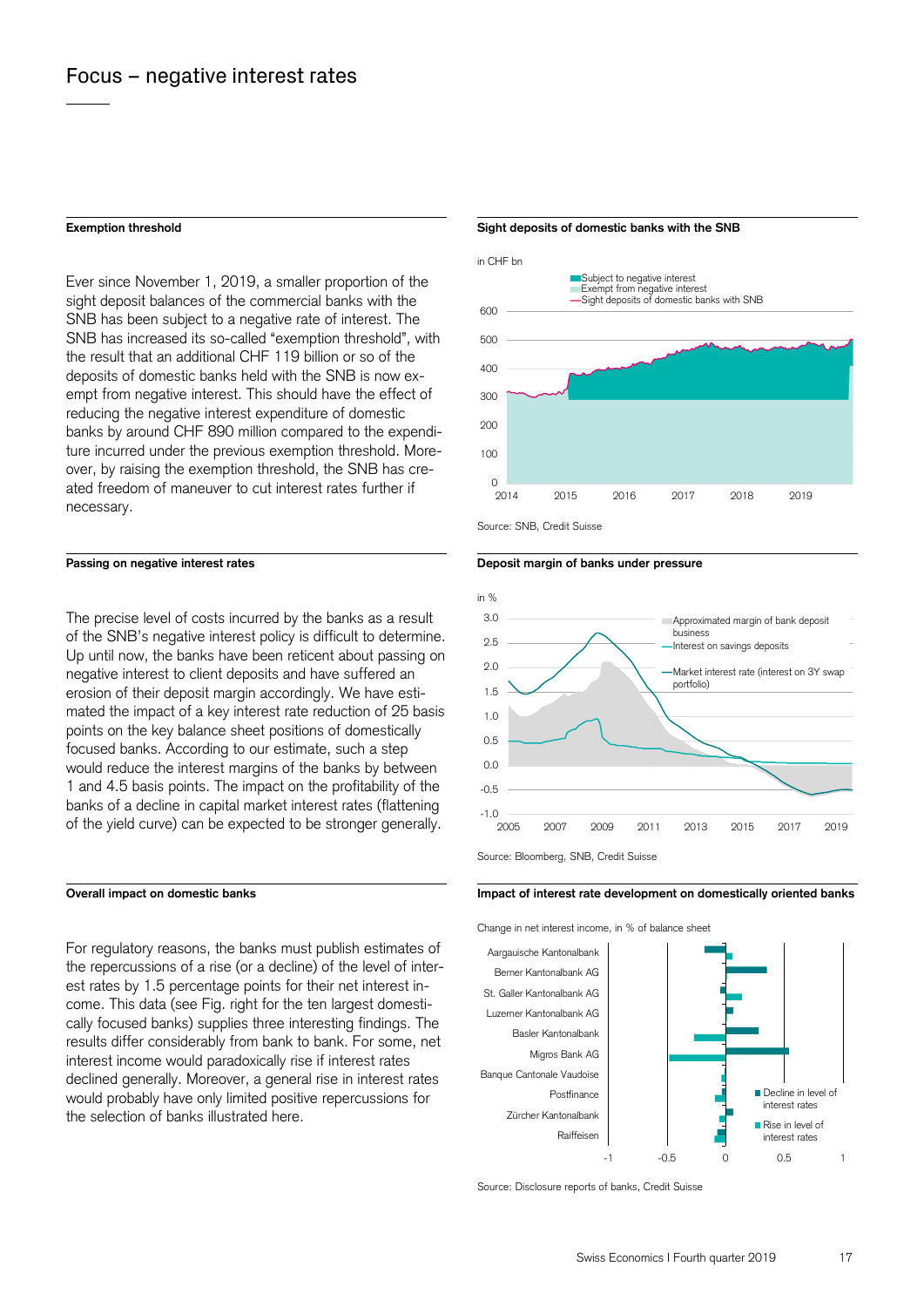Ever since November 1, 2019, a smaller proportion of the sight deposit balances of the commercial banks with the SNB has been subject to a negative rate of interest. The SNB has increased its so-called "exemption threshold", with the result that an additional CHF 119 billion or so of the deposits of domestic banks held with the SNB is now exempt from negative interest. This should have the effect of reducing the negative interest expenditure of domestic banks by around CHF 890 million compared to the expenditure incurred under the previous exemption threshold. Moreover, by raising the exemption threshold, the SNB has created freedom of maneuver to cut interest rates further if necessary.

The precise level of costs incurred by the banks as a result of the SNB's negative interest policy is difficult to determine. Up until now, the banks have been reticent about passing on negative interest to client deposits and have suffered an erosion of their deposit margin accordingly. We have estimated the impact of a key interest rate reduction of 25 basis points on the key balance sheet positions of domestically focused banks. According to our estimate, such a step would reduce the interest margins of the banks by between 1 and 4.5 basis points. The impact on the profitability of the banks of a decline in capital market interest rates (flattening of the yield curve) can be expected to be stronger generally.

For regulatory reasons, the banks must publish estimates of the repercussions of a rise (or a decline) of the level of interest rates by 1.5 percentage points for their net interest income. This data (see Fig. right for the ten largest domestically focused banks) supplies three interesting findings. The results differ considerably from bank to bank. For some, net interest income would paradoxically rise if interest rates declined generally. Moreover, a general rise in interest rates would probably have only limited positive repercussions for the selection of banks illustrated here.

### **Exemption threshold Sight deposits of domestic banks with the SNB**









Source: Bloomberg, SNB, Credit Suisse

## **Overall impact on domestic banks Impact of interest rate development on domestically oriented banks**

Change in net interest income, in % of balance sheet



Source: Disclosure reports of banks, Credit Suisse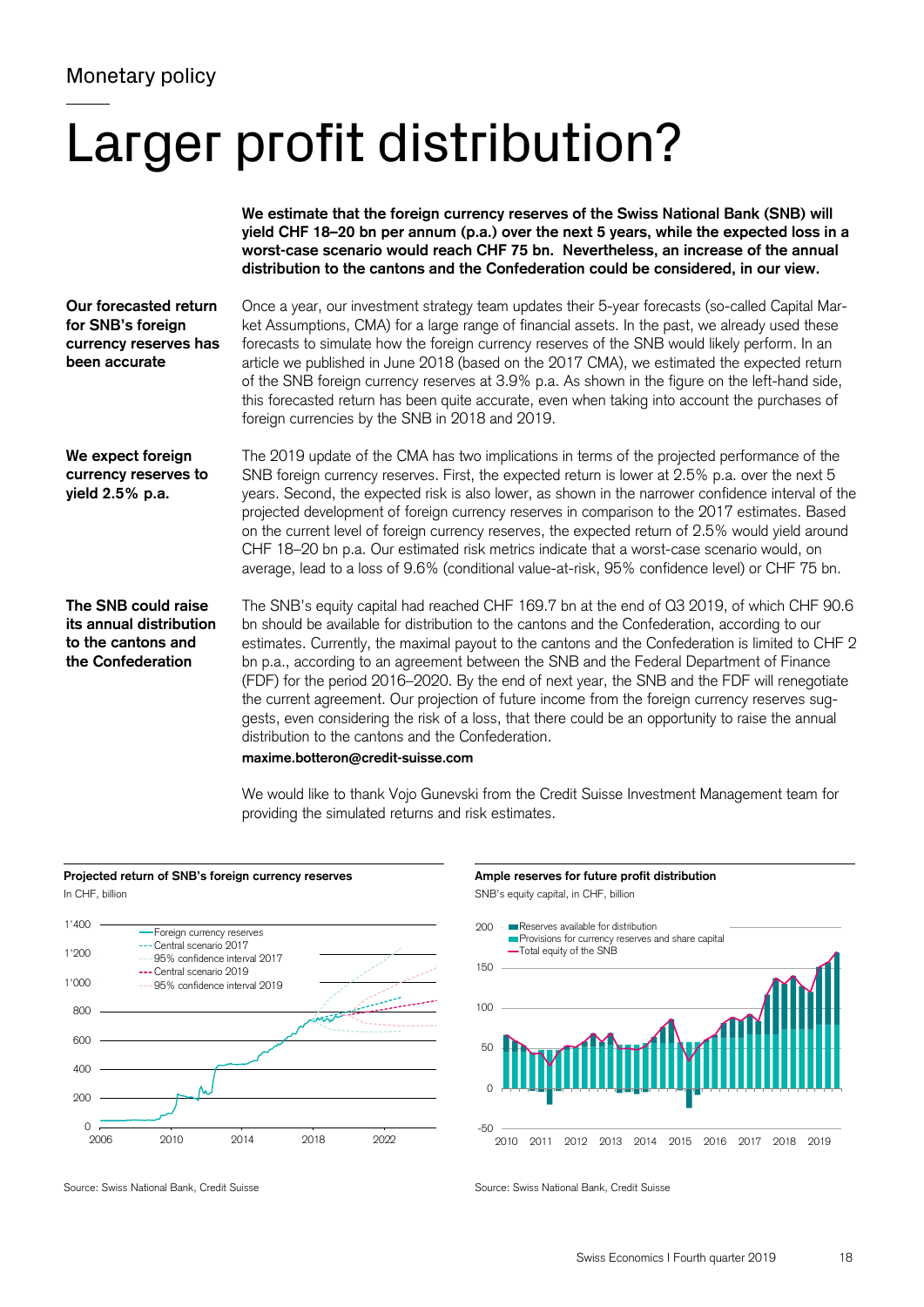# Larger profit distribution?

|                                                                                           | We estimate that the foreign currency reserves of the Swiss National Bank (SNB) will<br>yield CHF 18-20 bn per annum (p.a.) over the next 5 years, while the expected loss in a<br>worst-case scenario would reach CHF 75 bn. Nevertheless, an increase of the annual<br>distribution to the cantons and the Confederation could be considered, in our view.                                                                                                                                                                                                                                                                                                                                                                                                                                      |
|-------------------------------------------------------------------------------------------|---------------------------------------------------------------------------------------------------------------------------------------------------------------------------------------------------------------------------------------------------------------------------------------------------------------------------------------------------------------------------------------------------------------------------------------------------------------------------------------------------------------------------------------------------------------------------------------------------------------------------------------------------------------------------------------------------------------------------------------------------------------------------------------------------|
| Our forecasted return<br>for SNB's foreign<br>currency reserves has<br>been accurate      | Once a year, our investment strategy team updates their 5-year forecasts (so-called Capital Mar-<br>ket Assumptions, CMA) for a large range of financial assets. In the past, we already used these<br>forecasts to simulate how the foreign currency reserves of the SNB would likely perform. In an<br>article we published in June 2018 (based on the 2017 CMA), we estimated the expected return<br>of the SNB foreign currency reserves at 3.9% p.a. As shown in the figure on the left-hand side,<br>this forecasted return has been quite accurate, even when taking into account the purchases of<br>foreign currencies by the SNB in 2018 and 2019.                                                                                                                                      |
| We expect foreign<br>currency reserves to<br>yield 2.5% p.a.                              | The 2019 update of the CMA has two implications in terms of the projected performance of the<br>SNB foreign currency reserves. First, the expected return is lower at 2.5% p.a. over the next 5<br>years. Second, the expected risk is also lower, as shown in the narrower confidence interval of the<br>projected development of foreign currency reserves in comparison to the 2017 estimates. Based<br>on the current level of foreign currency reserves, the expected return of 2.5% would yield around<br>CHF 18-20 bn p.a. Our estimated risk metrics indicate that a worst-case scenario would, on<br>average, lead to a loss of 9.6% (conditional value-at-risk, 95% confidence level) or CHF 75 bn.                                                                                     |
| The SNB could raise<br>its annual distribution<br>to the cantons and<br>the Confederation | The SNB's equity capital had reached CHF 169.7 bn at the end of Q3 2019, of which CHF 90.6<br>bn should be available for distribution to the cantons and the Confederation, according to our<br>estimates. Currently, the maximal payout to the cantons and the Confederation is limited to CHF 2<br>bn p.a., according to an agreement between the SNB and the Federal Department of Finance<br>(FDF) for the period 2016-2020. By the end of next year, the SNB and the FDF will renegotiate<br>the current agreement. Our projection of future income from the foreign currency reserves sug-<br>gests, even considering the risk of a loss, that there could be an opportunity to raise the annual<br>distribution to the cantons and the Confederation.<br>maxime.botteron@credit-suisse.com |

We would like to thank Vojo Gunevski from the Credit Suisse Investment Management team for providing the simulated returns and risk estimates.





Source: Swiss National Bank, Credit Suisse Source: Swiss National Bank, Credit Suisse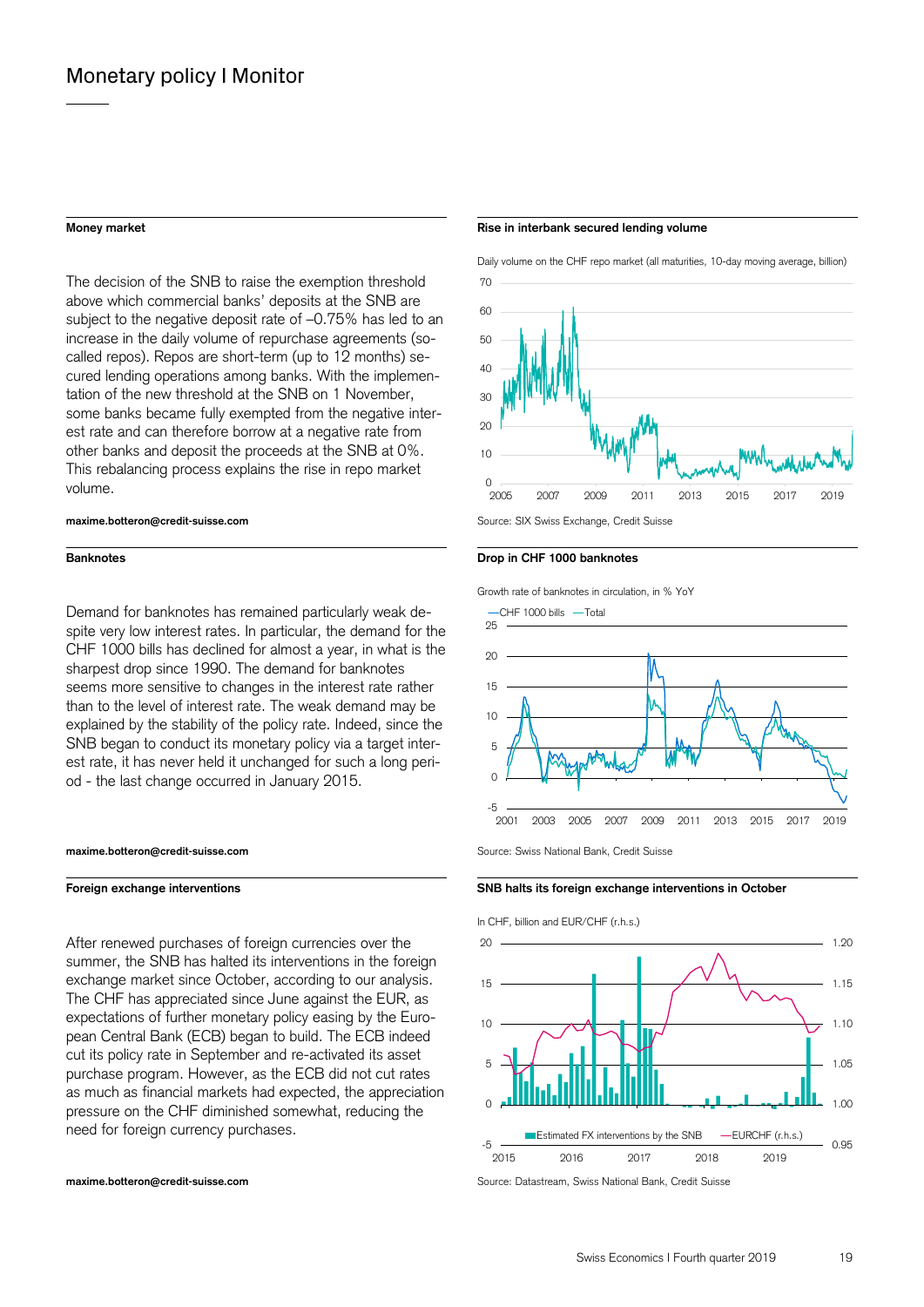The decision of the SNB to raise the exemption threshold above which commercial banks' deposits at the SNB are subject to the negative deposit rate of –0.75% has led to an increase in the daily volume of repurchase agreements (socalled repos). Repos are short-term (up to 12 months) secured lending operations among banks. With the implementation of the new threshold at the SNB on 1 November, some banks became fully exempted from the negative interest rate and can therefore borrow at a negative rate from other banks and deposit the proceeds at the SNB at 0%. This rebalancing process explains the rise in repo market volume.

Demand for banknotes has remained particularly weak despite very low interest rates. In particular, the demand for the CHF 1000 bills has declined for almost a year, in what is the sharpest drop since 1990. The demand for banknotes seems more sensitive to changes in the interest rate rather than to the level of interest rate. The weak demand may be explained by the stability of the policy rate. Indeed, since the SNB began to conduct its monetary policy via a target interest rate, it has never held it unchanged for such a long period - the last change occurred in January 2015.

### **maxime.botteron@credit-suisse.com Source: Swiss National Bank, Credit Suisse**

After renewed purchases of foreign currencies over the summer, the SNB has halted its interventions in the foreign exchange market since October, according to our analysis. The CHF has appreciated since June against the EUR, as expectations of further monetary policy easing by the European Central Bank (ECB) began to build. The ECB indeed cut its policy rate in September and re-activated its asset purchase program. However, as the ECB did not cut rates as much as financial markets had expected, the appreciation pressure on the CHF diminished somewhat, reducing the need for foreign currency purchases.

### **Money market Rise in interbank secured lending volume**





## **Banknotes Banknotes Drop in CHF 1000 banknotes**

Growth rate of banknotes in circulation, in % YoY



### **Foreign exchange interventions SNB halts its foreign exchange interventions in October SNB halts its foreign exchange interventions in October**



**maxime.botteron@credit-suisse.com Source: Datastream, Swiss National Bank, Credit Suisse** Suisse National Bank, Credit Suisse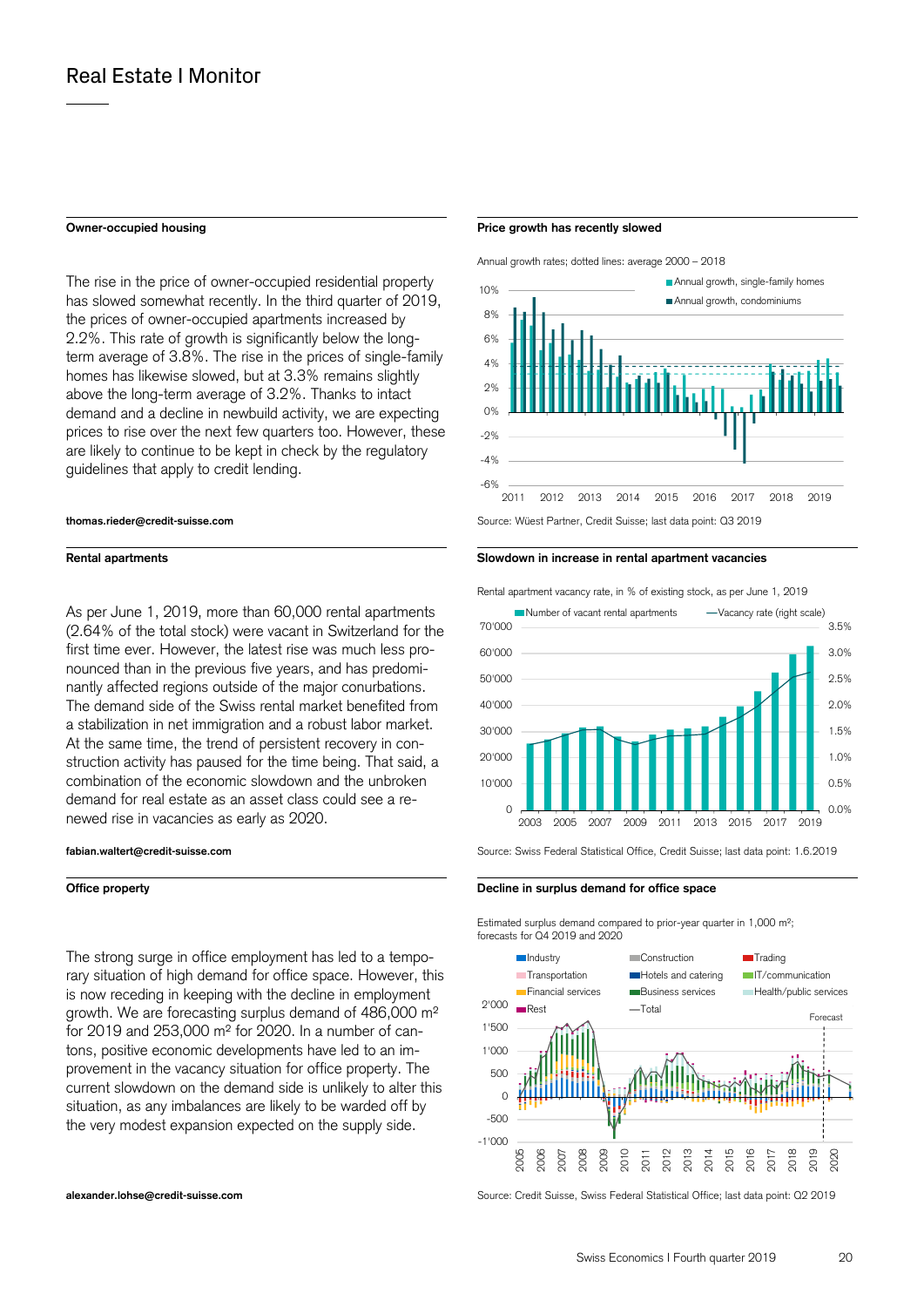The rise in the price of owner-occupied residential property has slowed somewhat recently. In the third quarter of 2019, the prices of owner-occupied apartments increased by 2.2%. This rate of growth is significantly below the longterm average of 3.8%. The rise in the prices of single-family homes has likewise slowed, but at 3.3% remains slightly above the long-term average of 3.2%. Thanks to intact demand and a decline in newbuild activity, we are expecting prices to rise over the next few quarters too. However, these are likely to continue to be kept in check by the regulatory guidelines that apply to credit lending.

As per June 1, 2019, more than 60,000 rental apartments (2.64% of the total stock) were vacant in Switzerland for the first time ever. However, the latest rise was much less pronounced than in the previous five years, and has predominantly affected regions outside of the major conurbations. The demand side of the Swiss rental market benefited from a stabilization in net immigration and a robust labor market. At the same time, the trend of persistent recovery in construction activity has paused for the time being. That said, a combination of the economic slowdown and the unbroken demand for real estate as an asset class could see a renewed rise in vacancies as early as 2020.

The strong surge in office employment has led to a temporary situation of high demand for office space. However, this is now receding in keeping with the decline in employment growth. We are forecasting surplus demand of 486,000 m² for 2019 and 253,000 m² for 2020. In a number of cantons, positive economic developments have led to an improvement in the vacancy situation for office property. The current slowdown on the demand side is unlikely to alter this situation, as any imbalances are likely to be warded off by the very modest expansion expected on the supply side.

### **Owner-occupied housing Owner-occupied housing Price growth has recently slowed**

Annual growth rates; dotted lines: average 2000 – 2018



# **Rental apartments Slowdown in increase in rental apartment vacancies**



**fabian.waltert@credit-suisse.com** Source: Swiss Federal Statistical Office, Credit Suisse; last data point: 1.6.2019

**Office property Decline in surplus demand for office space** 

Estimated surplus demand compared to prior-year quarter in 1,000 m<sup>2</sup>; forecasts for Q4 2019 and 2020



**alexander.lohse@credit-suisse.com** Source: Credit Suisse, Swiss Federal Statistical Office; last data point: Q2 2019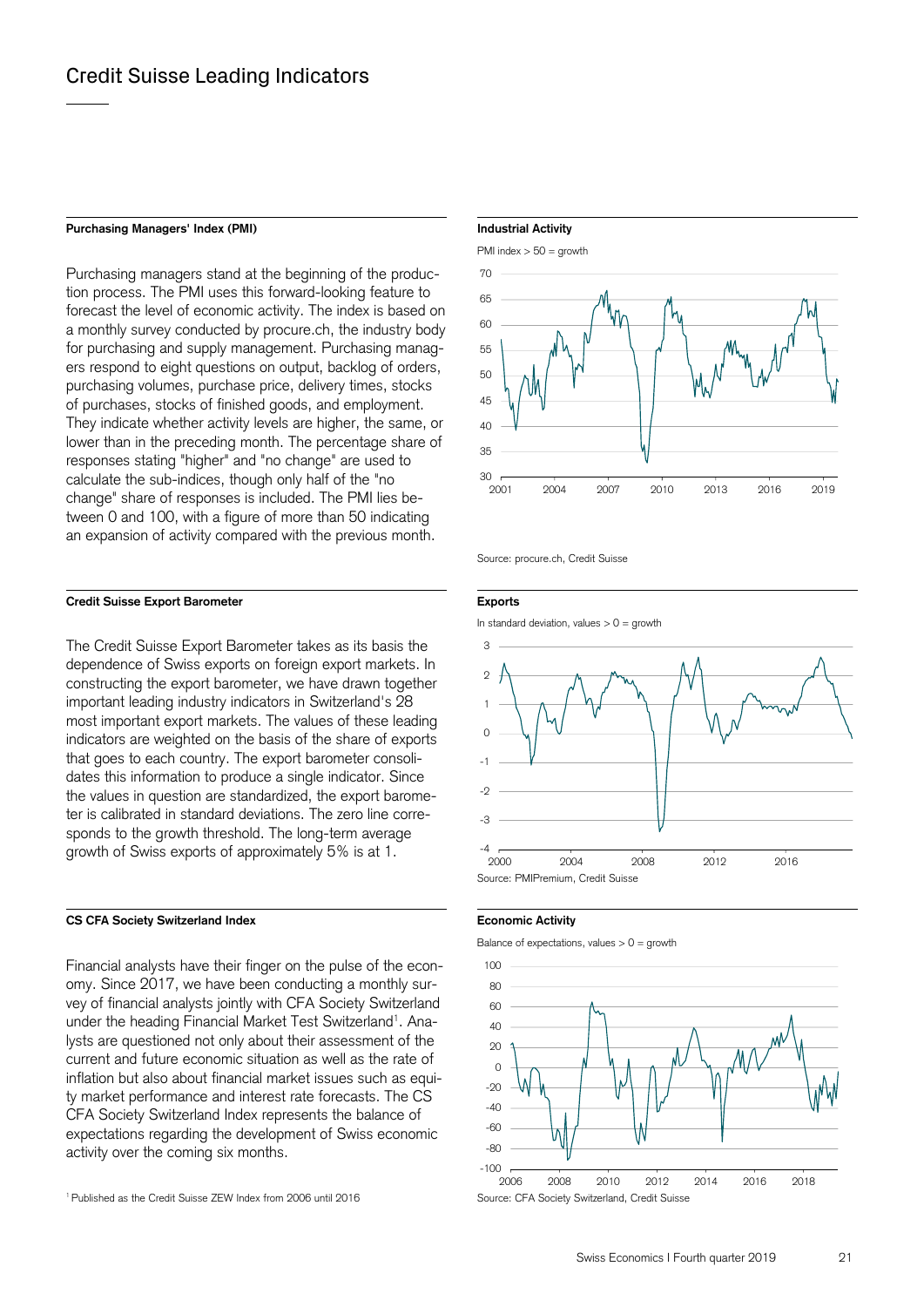# Purchasing Managers' Index (PMI) **Industrial Activity Industrial Activity**

Purchasing managers stand at the beginning of the production process. The PMI uses this forward-looking feature to forecast the level of economic activity. The index is based on a monthly survey conducted by procure.ch, the industry body for purchasing and supply management. Purchasing managers respond to eight questions on output, backlog of orders, purchasing volumes, purchase price, delivery times, stocks of purchases, stocks of finished goods, and employment. They indicate whether activity levels are higher, the same, or lower than in the preceding month. The percentage share of responses stating "higher" and "no change" are used to calculate the sub-indices, though only half of the "no change" share of responses is included. The PMI lies between 0 and 100, with a figure of more than 50 indicating an expansion of activity compared with the previous month.

# **Credit Suisse Export Barometer Exports**

The Credit Suisse Export Barometer takes as its basis the dependence of Swiss exports on foreign export markets. In constructing the export barometer, we have drawn together important leading industry indicators in Switzerland's 28 most important export markets. The values of these leading indicators are weighted on the basis of the share of exports that goes to each country. The export barometer consolidates this information to produce a single indicator. Since the values in question are standardized, the export barometer is calibrated in standard deviations. The zero line corresponds to the growth threshold. The long-term average growth of Swiss exports of approximately 5% is at 1.

# CS CFA Society Switzerland Index **Example 2018** Economic Activity

Financial analysts have their finger on the pulse of the economy. Since 2017, we have been conducting a monthly survey of financial analysts jointly with CFA Society Switzerland under the heading Financial Market Test Switzerland<sup>1</sup>. Analysts are questioned not only about their assessment of the current and future economic situation as well as the rate of inflation but also about financial market issues such as equity market performance and interest rate forecasts. The CS CFA Society Switzerland Index represents the balance of expectations regarding the development of Swiss economic activity over the coming six months.

# PMI index > 50 = growth



Source: procure.ch, Credit Suisse

In standard deviation, values  $> 0 =$  growth



Balance of expectations, values  $> 0 =$  growth



<sup>&</sup>lt;sup>1</sup> Published as the Credit Suisse ZEW Index from 2006 until 2016 Source: CFA Society Switzerland, Credit Suisse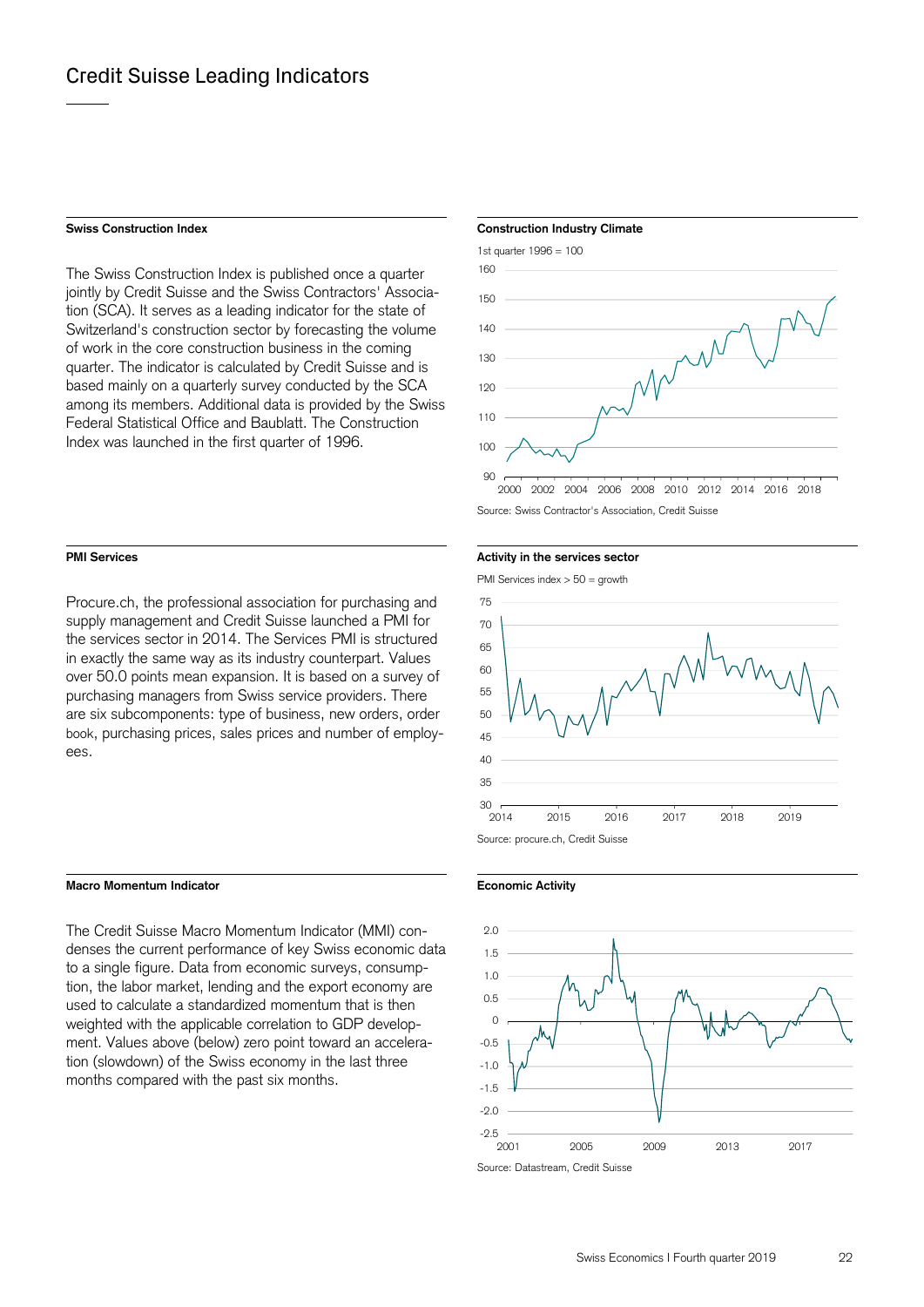The Swiss Construction Index is published once a quarter jointly by Credit Suisse and the Swiss Contractors' Association (SCA). It serves as a leading indicator for the state of Switzerland's construction sector by forecasting the volume of work in the core construction business in the coming quarter. The indicator is calculated by Credit Suisse and is based mainly on a quarterly survey conducted by the SCA among its members. Additional data is provided by the Swiss Federal Statistical Office and Baublatt. The Construction Index was launched in the first quarter of 1996.

Procure.ch, the professional association for purchasing and supply management and Credit Suisse launched a PMI for the services sector in 2014. The Services PMI is structured in exactly the same way as its industry counterpart. Values over 50.0 points mean expansion. It is based on a survey of purchasing managers from Swiss service providers. There are six subcomponents: type of business, new orders, order book, purchasing prices, sales prices and number of employees.

## **Macro Momentum Indicator Economic Activity**

The Credit Suisse Macro Momentum Indicator (MMI) condenses the current performance of key Swiss economic data to a single figure. Data from economic surveys, consumption, the labor market, lending and the export economy are used to calculate a standardized momentum that is then weighted with the applicable correlation to GDP development. Values above (below) zero point toward an acceleration (slowdown) of the Swiss economy in the last three months compared with the past six months.

# **Swiss Construction Index Construction Industry Climate Construction Industry Climate**



Source: Swiss Contractor's Association, Credit Suisse

# **PMI Services PMI Services Activity in the services sector PMI** Services sector

PMI Services index > 50 = growth



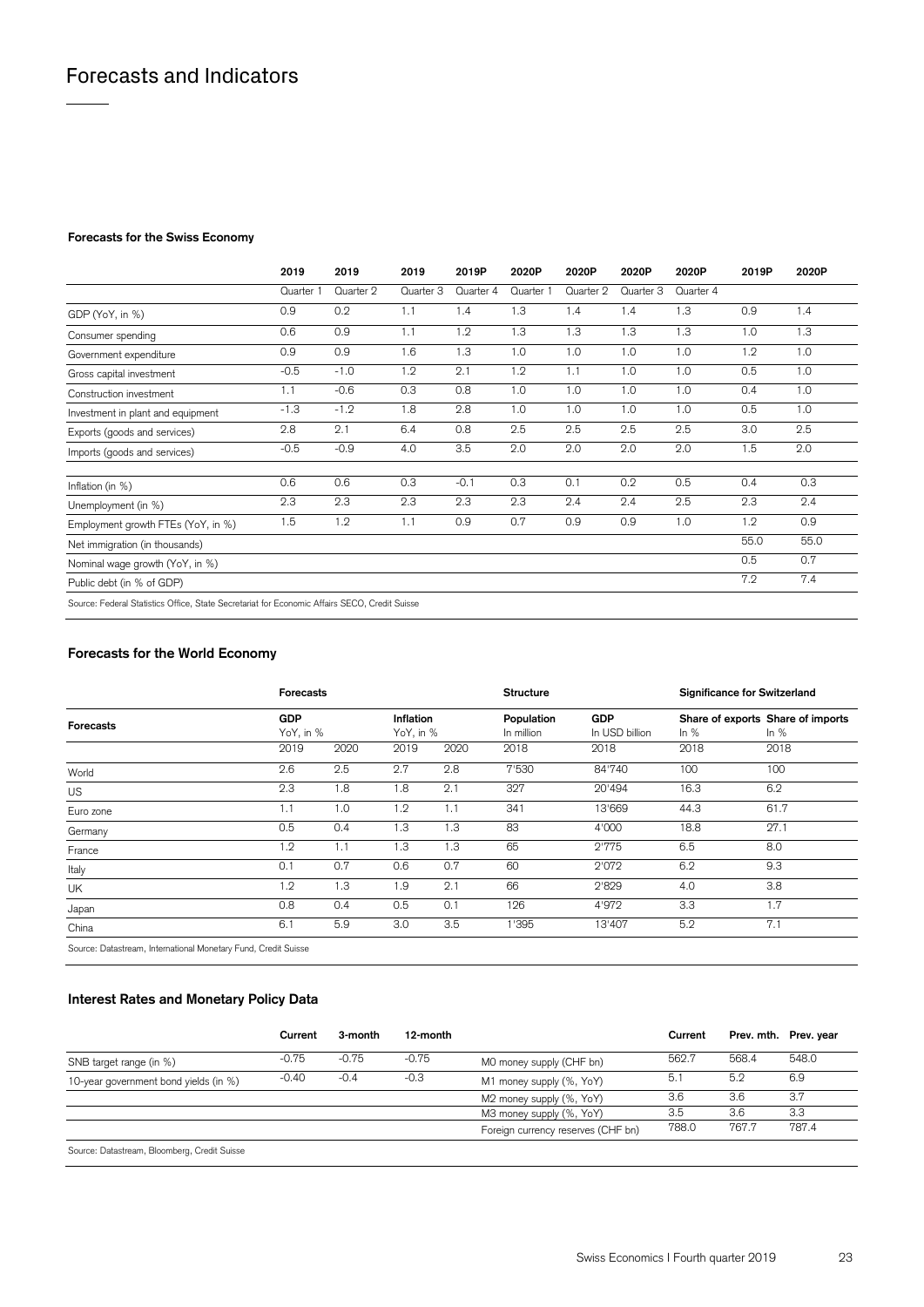# **Forecasts for the Swiss Economy**

|                                                                                               | 2019      | 2019      | 2019      | 2019P     | 2020P     | 2020P     | 2020P     | 2020P     | 2019P | 2020P |
|-----------------------------------------------------------------------------------------------|-----------|-----------|-----------|-----------|-----------|-----------|-----------|-----------|-------|-------|
|                                                                                               | Quarter 1 | Quarter 2 | Quarter 3 | Quarter 4 | Quarter 1 | Quarter 2 | Quarter 3 | Quarter 4 |       |       |
| GDP (YoY, in %)                                                                               | 0.9       | 0.2       | 1.1       | 1.4       | 1.3       | 1.4       | 1.4       | 1.3       | 0.9   | 1.4   |
| Consumer spending                                                                             | 0.6       | 0.9       | 1.1       | 1.2       | 1.3       | 1.3       | 1.3       | 1.3       | 1.0   | 1.3   |
| Government expenditure                                                                        | 0.9       | 0.9       | 1.6       | 1.3       | 1.0       | 1.0       | 1.0       | 1.0       | 1.2   | 1.0   |
| Gross capital investment                                                                      | $-0.5$    | $-1.0$    | 1.2       | 2.1       | 1.2       | 1.1       | 1.0       | 1.0       | 0.5   | 1.0   |
| Construction investment                                                                       | 1.1       | $-0.6$    | 0.3       | 0.8       | 1.0       | 1.0       | 1.0       | 1.0       | 0.4   | 1.0   |
| Investment in plant and equipment                                                             | $-1.3$    | $-1.2$    | 1.8       | 2.8       | 1.0       | 1.0       | 1.0       | 1.0       | 0.5   | 1.0   |
| Exports (goods and services)                                                                  | 2.8       | 2.1       | 6.4       | 0.8       | 2.5       | 2.5       | 2.5       | 2.5       | 3.0   | 2.5   |
| Imports (goods and services)                                                                  | $-0.5$    | $-0.9$    | 4.0       | 3.5       | 2.0       | 2.0       | 2.0       | 2.0       | 1.5   | 2.0   |
| Inflation (in $%$ )                                                                           | 0.6       | 0.6       | 0.3       | $-0.1$    | 0.3       | 0.1       | 0.2       | 0.5       | 0.4   | 0.3   |
| Unemployment (in %)                                                                           | 2.3       | 2.3       | 2.3       | 2.3       | 2.3       | 2.4       | 2.4       | 2.5       | 2.3   | 2.4   |
| Employment growth FTEs (YoY, in %)                                                            | 1.5       | 1.2       | 1.1       | 0.9       | 0.7       | 0.9       | 0.9       | 1.0       | 1.2   | 0.9   |
| Net immigration (in thousands)                                                                |           |           |           |           |           |           |           |           | 55.0  | 55.0  |
| Nominal wage growth (YoY, in %)                                                               |           |           |           |           |           |           |           |           | 0.5   | 0.7   |
| Public debt (in % of GDP)                                                                     |           |           |           |           |           |           |           |           | 7.2   | 7.4   |
| Source: Federal Statistics Office, State Secretariat for Economic Affairs SECO, Credit Suisse |           |           |           |           |           |           |           |           |       |       |

# **Forecasts for the World Economy**

|                                                               | <b>Forecasts</b> |           |      |                        | <b>Structure</b>         |                              | <b>Significance for Switzerland</b> |                                             |  |
|---------------------------------------------------------------|------------------|-----------|------|------------------------|--------------------------|------------------------------|-------------------------------------|---------------------------------------------|--|
| <b>Forecasts</b>                                              | <b>GDP</b>       | YoY, in % |      | Inflation<br>YoY, in % | Population<br>In million | <b>GDP</b><br>In USD billion | In $%$                              | Share of exports Share of imports<br>In $%$ |  |
|                                                               | 2019             | 2020      | 2019 | 2020                   | 2018                     | 2018                         | 2018                                | 2018                                        |  |
| World                                                         | 2.6              | 2.5       | 2.7  | 2.8                    | 7'530                    | 84'740                       | 100                                 | 100                                         |  |
| <b>US</b>                                                     | 2.3              | 1.8       | 1.8  | 2.1                    | 327                      | 20'494                       | 16.3                                | 6.2                                         |  |
| Euro zone                                                     | 1.1              | 1.0       | 1.2  | 1.1                    | 341                      | 13'669                       | 44.3                                | 61.7                                        |  |
| Germany                                                       | 0.5              | 0.4       | 1.3  | 1.3                    | 83                       | 4'000                        | 18.8                                | 27.1                                        |  |
| France                                                        | 1.2              | 1.1       | 1.3  | 1.3                    | 65                       | 2'775                        | 6.5                                 | 8.0                                         |  |
| Italy                                                         | 0.1              | 0.7       | 0.6  | 0.7                    | 60                       | 2'072                        | 6.2                                 | 9.3                                         |  |
| UK                                                            | 1.2              | 1.3       | 1.9  | 2.1                    | 66                       | 2'829                        | 4.0                                 | 3.8                                         |  |
| Japan                                                         | 0.8              | 0.4       | 0.5  | 0.1                    | 126                      | 4'972                        | 3.3                                 | 1.7                                         |  |
| China                                                         | 6.1              | 5.9       | 3.0  | 3.5                    | 1'395                    | 13'407                       | 5.2                                 | 7.1                                         |  |
| Source: Detectroom International Manaton: Fund, Cradit Suicce |                  |           |      |                        |                          |                              |                                     |                                             |  |

Source: Datastream, International Monetary Fund, Credit Suisse

# **Interest Rates and Monetary Policy Data**

|                                              | Current | 3-month | 12-month |                                    | Current |       | Prev. mth. Prev. year |
|----------------------------------------------|---------|---------|----------|------------------------------------|---------|-------|-----------------------|
| SNB target range (in %)                      | $-0.75$ | $-0.75$ | $-0.75$  | MO money supply (CHF bn)           | 562.7   | 568.4 | 548.0                 |
| 10-year government bond yields (in %)        | $-0.40$ | $-0.4$  | $-0.3$   | M1 money supply (%, YoY)           | -5.1    | 5.2   | 6.9                   |
|                                              |         |         |          | M2 money supply (%, YoY)           | 3.6     | 3.6   | 3.7                   |
|                                              |         |         |          | M3 money supply (%, YoY)           | 3.5     | 3.6   | 3.3                   |
|                                              |         |         |          | Foreign currency reserves (CHF bn) | 788.0   | 767.7 | 787.4                 |
| Source: Datastream, Bloomberg, Credit Suisse |         |         |          |                                    |         |       |                       |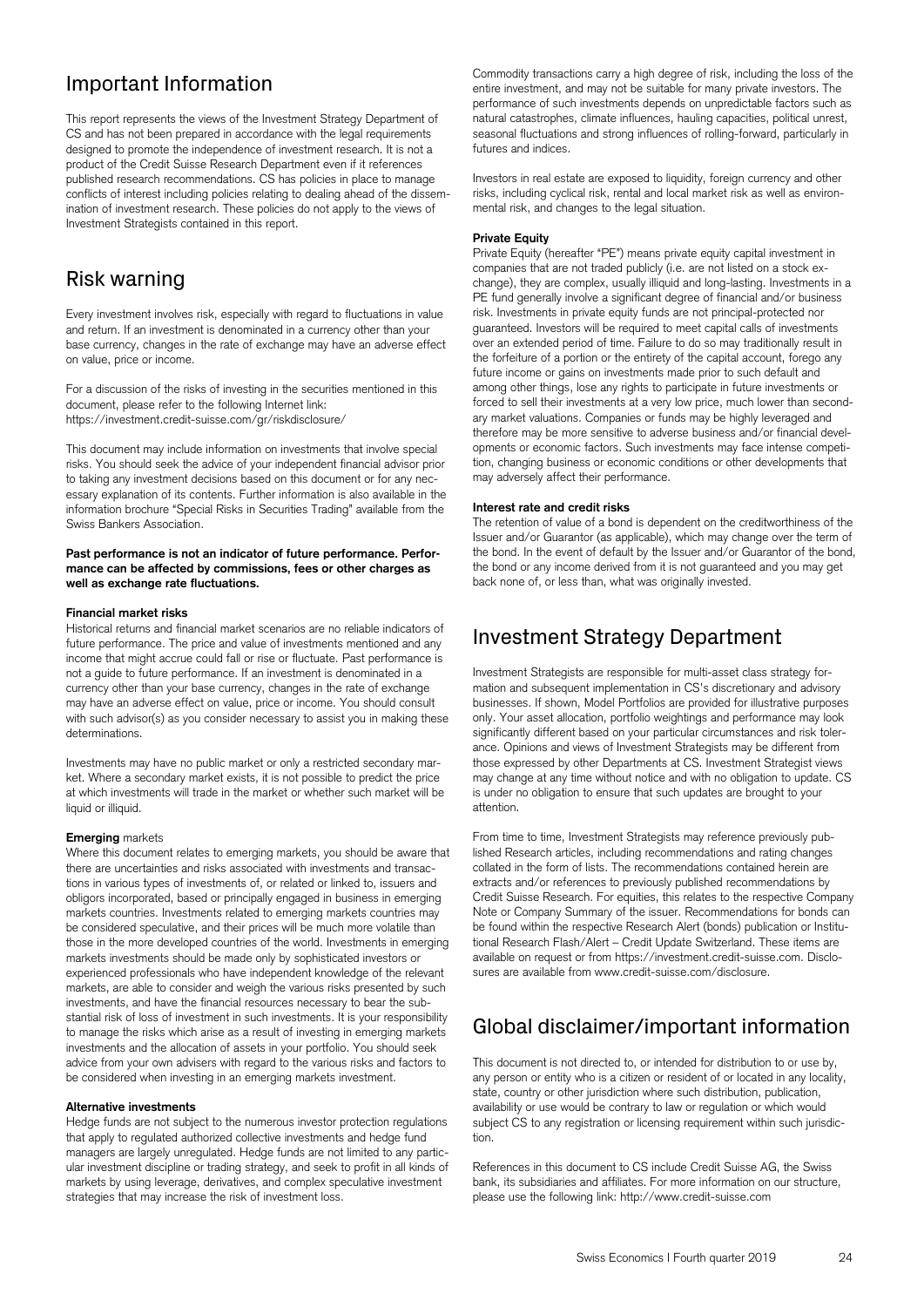# Important Information

This report represents the views of the Investment Strategy Department of CS and has not been prepared in accordance with the legal requirements designed to promote the independence of investment research. It is not a product of the Credit Suisse Research Department even if it references published research recommendations. CS has policies in place to manage conflicts of interest including policies relating to dealing ahead of the dissemination of investment research. These policies do not apply to the views of Investment Strategists contained in this report.

# Risk warning

Every investment involves risk, especially with regard to fluctuations in value and return. If an investment is denominated in a currency other than your base currency, changes in the rate of exchange may have an adverse effect on value, price or income.

For a discussion of the risks of investing in the securities mentioned in this document, please refer to the following Internet link: https://investment.credit-suisse.com/gr/riskdisclosure/

This document may include information on investments that involve special risks. You should seek the advice of your independent financial advisor prior to taking any investment decisions based on this document or for any necessary explanation of its contents. Further information is also available in the information brochure "Special Risks in Securities Trading" available from the Swiss Bankers Association.

### Past performance is not an indicator of future performance. Perfor**mance can be affected by commissions, fees or other charges as well as exchange rate fluctuations.**

## **Financial market risks**

Historical returns and financial market scenarios are no reliable indicators of future performance. The price and value of investments mentioned and any income that might accrue could fall or rise or fluctuate. Past performance is not a guide to future performance. If an investment is denominated in a currency other than your base currency, changes in the rate of exchange may have an adverse effect on value, price or income. You should consult with such advisor(s) as you consider necessary to assist you in making these determinations.

Investments may have no public market or only a restricted secondary market. Where a secondary market exists, it is not possible to predict the price at which investments will trade in the market or whether such market will be liquid or illiquid.

## **Emerging** markets

Where this document relates to emerging markets, you should be aware that there are uncertainties and risks associated with investments and transactions in various types of investments of, or related or linked to, issuers and obligors incorporated, based or principally engaged in business in emerging markets countries. Investments related to emerging markets countries may be considered speculative, and their prices will be much more volatile than those in the more developed countries of the world. Investments in emerging markets investments should be made only by sophisticated investors or experienced professionals who have independent knowledge of the relevant markets, are able to consider and weigh the various risks presented by such investments, and have the financial resources necessary to bear the substantial risk of loss of investment in such investments. It is your responsibility to manage the risks which arise as a result of investing in emerging markets investments and the allocation of assets in your portfolio. You should seek advice from your own advisers with regard to the various risks and factors to be considered when investing in an emerging markets investment.

## **Alternative investments**

Hedge funds are not subject to the numerous investor protection regulations that apply to regulated authorized collective investments and hedge fund managers are largely unregulated. Hedge funds are not limited to any particular investment discipline or trading strategy, and seek to profit in all kinds of markets by using leverage, derivatives, and complex speculative investment strategies that may increase the risk of investment loss.

Commodity transactions carry a high degree of risk, including the loss of the entire investment, and may not be suitable for many private investors. The performance of such investments depends on unpredictable factors such as natural catastrophes, climate influences, hauling capacities, political unrest, seasonal fluctuations and strong influences of rolling-forward, particularly in futures and indices.

Investors in real estate are exposed to liquidity, foreign currency and other risks, including cyclical risk, rental and local market risk as well as environmental risk, and changes to the legal situation.

### **Private Equity**

Private Equity (hereafter "PE") means private equity capital investment in companies that are not traded publicly (i.e. are not listed on a stock exchange), they are complex, usually illiquid and long-lasting. Investments in a PE fund generally involve a significant degree of financial and/or business risk. Investments in private equity funds are not principal-protected nor guaranteed. Investors will be required to meet capital calls of investments over an extended period of time. Failure to do so may traditionally result in the forfeiture of a portion or the entirety of the capital account, forego any future income or gains on investments made prior to such default and among other things, lose any rights to participate in future investments or forced to sell their investments at a very low price, much lower than secondary market valuations. Companies or funds may be highly leveraged and therefore may be more sensitive to adverse business and/or financial developments or economic factors. Such investments may face intense competition, changing business or economic conditions or other developments that may adversely affect their performance.

### **Interest rate and credit risks**

The retention of value of a bond is dependent on the creditworthiness of the Issuer and/or Guarantor (as applicable), which may change over the term of the bond. In the event of default by the Issuer and/or Guarantor of the bond, the bond or any income derived from it is not guaranteed and you may get back none of, or less than, what was originally invested.

# Investment Strategy Department

Investment Strategists are responsible for multi-asset class strategy formation and subsequent implementation in CS's discretionary and advisory businesses. If shown, Model Portfolios are provided for illustrative purposes only. Your asset allocation, portfolio weightings and performance may look significantly different based on your particular circumstances and risk tolerance. Opinions and views of Investment Strategists may be different from those expressed by other Departments at CS. Investment Strategist views may change at any time without notice and with no obligation to update. CS is under no obligation to ensure that such updates are brought to your attention.

From time to time, Investment Strategists may reference previously published Research articles, including recommendations and rating changes collated in the form of lists. The recommendations contained herein are extracts and/or references to previously published recommendations by Credit Suisse Research. For equities, this relates to the respective Company Note or Company Summary of the issuer. Recommendations for bonds can be found within the respective Research Alert (bonds) publication or Institutional Research Flash/Alert – Credit Update Switzerland. These items are available on request or from https://investment.credit-suisse.com. Disclosures are available from www.credit-suisse.com/disclosure.

# Global disclaimer/important information

This document is not directed to, or intended for distribution to or use by, any person or entity who is a citizen or resident of or located in any locality, state, country or other jurisdiction where such distribution, publication, availability or use would be contrary to law or regulation or which would subject CS to any registration or licensing requirement within such jurisdiction.

References in this document to CS include Credit Suisse AG, the Swiss bank, its subsidiaries and affiliates. For more information on our structure, please use the following link: http://www.credit-suisse.com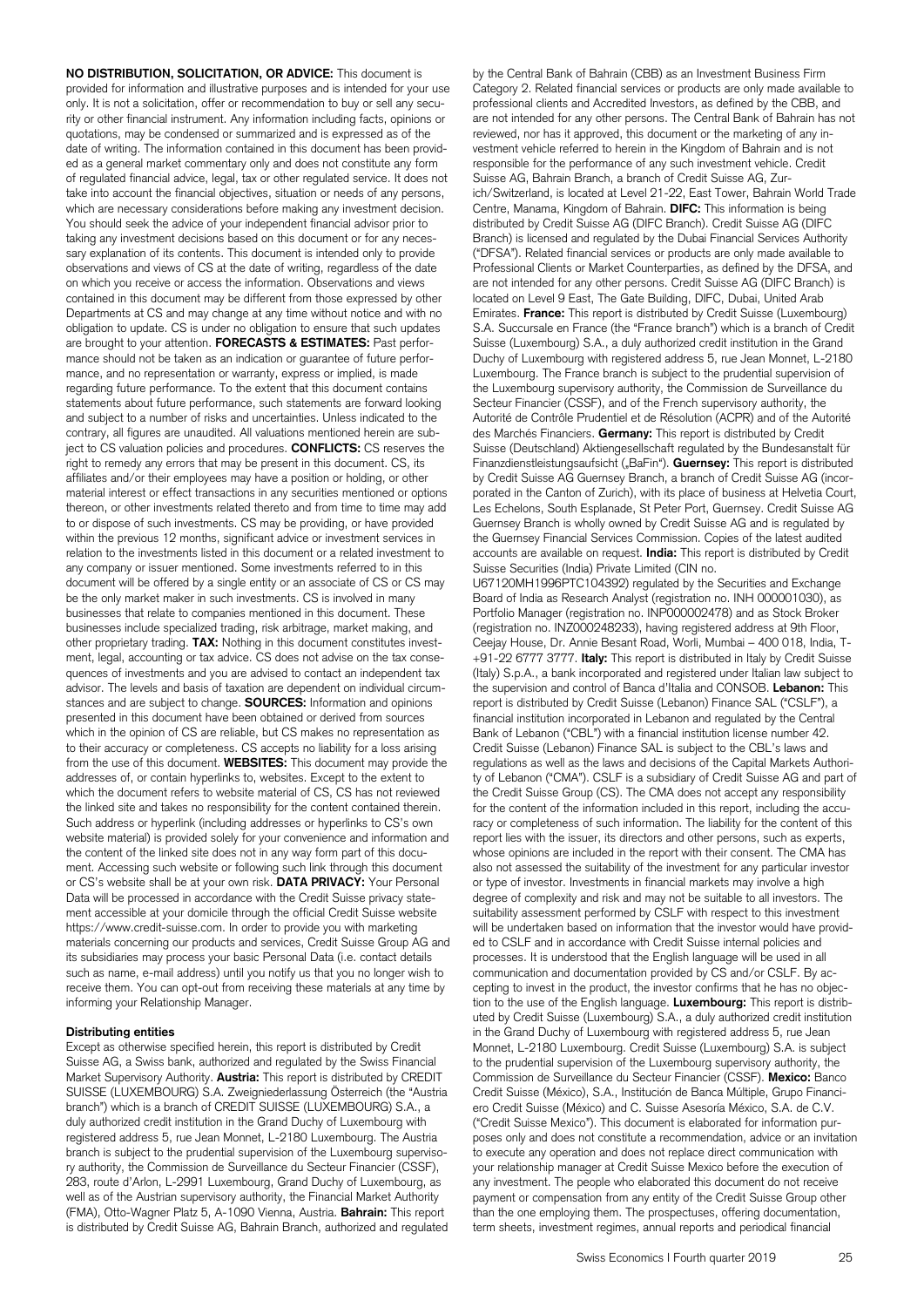**NO DISTRIBUTION, SOLICITATION, OR ADVICE:** This document is provided for information and illustrative purposes and is intended for your use only. It is not a solicitation, offer or recommendation to buy or sell any security or other financial instrument. Any information including facts, opinions or quotations, may be condensed or summarized and is expressed as of the date of writing. The information contained in this document has been provided as a general market commentary only and does not constitute any form of regulated financial advice, legal, tax or other regulated service. It does not take into account the financial objectives, situation or needs of any persons, which are necessary considerations before making any investment decision. You should seek the advice of your independent financial advisor prior to taking any investment decisions based on this document or for any necessary explanation of its contents. This document is intended only to provide observations and views of CS at the date of writing, regardless of the date on which you receive or access the information. Observations and views contained in this document may be different from those expressed by other Departments at CS and may change at any time without notice and with no obligation to update. CS is under no obligation to ensure that such updates are brought to your attention. **FORECASTS & ESTIMATES:** Past performance should not be taken as an indication or guarantee of future performance, and no representation or warranty, express or implied, is made regarding future performance. To the extent that this document contains statements about future performance, such statements are forward looking and subject to a number of risks and uncertainties. Unless indicated to the contrary, all figures are unaudited. All valuations mentioned herein are subject to CS valuation policies and procedures. **CONFLICTS:** CS reserves the right to remedy any errors that may be present in this document. CS, its affiliates and/or their employees may have a position or holding, or other material interest or effect transactions in any securities mentioned or options thereon, or other investments related thereto and from time to time may add to or dispose of such investments. CS may be providing, or have provided within the previous 12 months, significant advice or investment services in relation to the investments listed in this document or a related investment to any company or issuer mentioned. Some investments referred to in this document will be offered by a single entity or an associate of CS or CS may be the only market maker in such investments. CS is involved in many businesses that relate to companies mentioned in this document. These businesses include specialized trading, risk arbitrage, market making, and other proprietary trading. **TAX:** Nothing in this document constitutes investment, legal, accounting or tax advice. CS does not advise on the tax consequences of investments and you are advised to contact an independent tax advisor. The levels and basis of taxation are dependent on individual circumstances and are subject to change. **SOURCES:** Information and opinions presented in this document have been obtained or derived from sources which in the opinion of CS are reliable, but CS makes no representation as to their accuracy or completeness. CS accepts no liability for a loss arising from the use of this document. **WEBSITES:** This document may provide the addresses of, or contain hyperlinks to, websites. Except to the extent to which the document refers to website material of CS, CS has not reviewed the linked site and takes no responsibility for the content contained therein. Such address or hyperlink (including addresses or hyperlinks to CS's own website material) is provided solely for your convenience and information and the content of the linked site does not in any way form part of this document. Accessing such website or following such link through this document or CS's website shall be at your own risk. **DATA PRIVACY:** Your Personal Data will be processed in accordance with the Credit Suisse privacy statement accessible at your domicile through the official Credit Suisse website https://www.credit-suisse.com. In order to provide you with marketing materials concerning our products and services, Credit Suisse Group AG and its subsidiaries may process your basic Personal Data (i.e. contact details such as name, e-mail address) until you notify us that you no longer wish to receive them. You can opt-out from receiving these materials at any time by informing your Relationship Manager.

# **Distributing entities**

Except as otherwise specified herein, this report is distributed by Credit Suisse AG, a Swiss bank, authorized and regulated by the Swiss Financial Market Supervisory Authority. **Austria:** This report is distributed by CREDIT SUISSE (LUXEMBOURG) S.A. Zweigniederlassung Österreich (the "Austria branch") which is a branch of CREDIT SUISSE (LUXEMBOURG) S.A., a duly authorized credit institution in the Grand Duchy of Luxembourg with registered address 5, rue Jean Monnet, L-2180 Luxembourg. The Austria branch is subject to the prudential supervision of the Luxembourg supervisory authority, the Commission de Surveillance du Secteur Financier (CSSF), 283, route d'Arlon, L-2991 Luxembourg, Grand Duchy of Luxembourg, as well as of the Austrian supervisory authority, the Financial Market Authority (FMA), Otto-Wagner Platz 5, A-1090 Vienna, Austria. **Bahrain:** This report is distributed by Credit Suisse AG, Bahrain Branch, authorized and regulated by the Central Bank of Bahrain (CBB) as an Investment Business Firm Category 2. Related financial services or products are only made available to professional clients and Accredited Investors, as defined by the CBB, and are not intended for any other persons. The Central Bank of Bahrain has not reviewed, nor has it approved, this document or the marketing of any investment vehicle referred to herein in the Kingdom of Bahrain and is not responsible for the performance of any such investment vehicle. Credit Suisse AG, Bahrain Branch, a branch of Credit Suisse AG, Zurich/Switzerland, is located at Level 21-22, East Tower, Bahrain World Trade Centre, Manama, Kingdom of Bahrain. **DIFC:** This information is being distributed by Credit Suisse AG (DIFC Branch). Credit Suisse AG (DIFC Branch) is licensed and regulated by the Dubai Financial Services Authority ("DFSA"). Related financial services or products are only made available to Professional Clients or Market Counterparties, as defined by the DFSA, and are not intended for any other persons. Credit Suisse AG (DIFC Branch) is located on Level 9 East, The Gate Building, DIFC, Dubai, United Arab Emirates. **France:** This report is distributed by Credit Suisse (Luxembourg) S.A. Succursale en France (the "France branch") which is a branch of Credit Suisse (Luxembourg) S.A., a duly authorized credit institution in the Grand Duchy of Luxembourg with registered address 5, rue Jean Monnet, L-2180 Luxembourg. The France branch is subject to the prudential supervision of the Luxembourg supervisory authority, the Commission de Surveillance du Secteur Financier (CSSF), and of the French supervisory authority, the Autorité de Contrôle Prudentiel et de Résolution (ACPR) and of the Autorité des Marchés Financiers. **Germany:** This report is distributed by Credit Suisse (Deutschland) Aktiengesellschaft regulated by the Bundesanstalt für Finanzdienstleistungsaufsicht ("BaFin"). **Guernsey:** This report is distributed by Credit Suisse AG Guernsey Branch, a branch of Credit Suisse AG (incorporated in the Canton of Zurich), with its place of business at Helvetia Court, Les Echelons, South Esplanade, St Peter Port, Guernsey. Credit Suisse AG Guernsey Branch is wholly owned by Credit Suisse AG and is regulated by the Guernsey Financial Services Commission. Copies of the latest audited accounts are available on request. **India:** This report is distributed by Credit Suisse Securities (India) Private Limited (CIN no.

U67120MH1996PTC104392) regulated by the Securities and Exchange Board of India as Research Analyst (registration no. INH 000001030), as Portfolio Manager (registration no. INP000002478) and as Stock Broker (registration no. INZ000248233), having registered address at 9th Floor, Ceejay House, Dr. Annie Besant Road, Worli, Mumbai – 400 018, India, T- +91-22 6777 3777. **Italy:** This report is distributed in Italy by Credit Suisse (Italy) S.p.A., a bank incorporated and registered under Italian law subject to the supervision and control of Banca d'Italia and CONSOB. **Lebanon:** This report is distributed by Credit Suisse (Lebanon) Finance SAL ("CSLF"), a financial institution incorporated in Lebanon and regulated by the Central Bank of Lebanon ("CBL") with a financial institution license number 42. Credit Suisse (Lebanon) Finance SAL is subject to the CBL's laws and regulations as well as the laws and decisions of the Capital Markets Authority of Lebanon ("CMA"). CSLF is a subsidiary of Credit Suisse AG and part of the Credit Suisse Group (CS). The CMA does not accept any responsibility for the content of the information included in this report, including the accuracy or completeness of such information. The liability for the content of this report lies with the issuer, its directors and other persons, such as experts, whose opinions are included in the report with their consent. The CMA has also not assessed the suitability of the investment for any particular investor or type of investor. Investments in financial markets may involve a high degree of complexity and risk and may not be suitable to all investors. The suitability assessment performed by CSLF with respect to this investment will be undertaken based on information that the investor would have provided to CSLF and in accordance with Credit Suisse internal policies and processes. It is understood that the English language will be used in all communication and documentation provided by CS and/or CSLF. By accepting to invest in the product, the investor confirms that he has no objection to the use of the English language. **Luxembourg:** This report is distributed by Credit Suisse (Luxembourg) S.A., a duly authorized credit institution in the Grand Duchy of Luxembourg with registered address 5, rue Jean Monnet, L-2180 Luxembourg. Credit Suisse (Luxembourg) S.A. is subject to the prudential supervision of the Luxembourg supervisory authority, the Commission de Surveillance du Secteur Financier (CSSF). **Mexico:** Banco Credit Suisse (México), S.A., Institución de Banca Múltiple, Grupo Financiero Credit Suisse (México) and C. Suisse Asesoría México, S.A. de C.V. ("Credit Suisse Mexico"). This document is elaborated for information purposes only and does not constitute a recommendation, advice or an invitation to execute any operation and does not replace direct communication with your relationship manager at Credit Suisse Mexico before the execution of any investment. The people who elaborated this document do not receive payment or compensation from any entity of the Credit Suisse Group other than the one employing them. The prospectuses, offering documentation, term sheets, investment regimes, annual reports and periodical financial